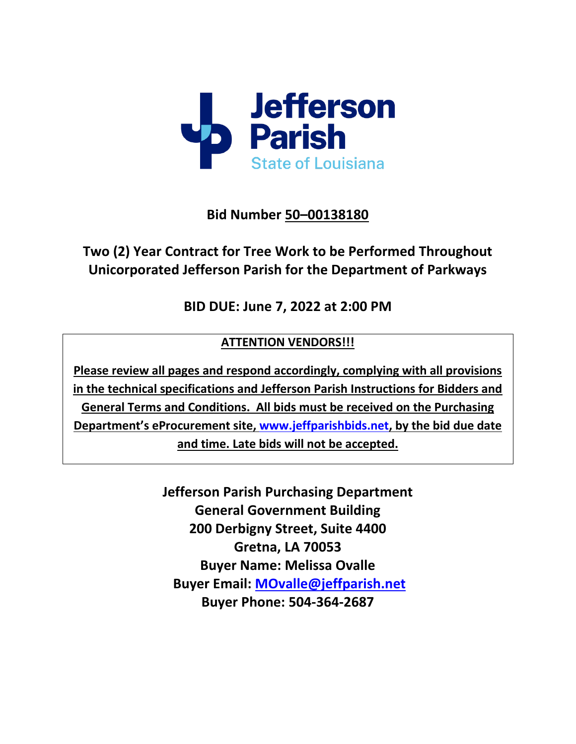

**Bid Number 50–00138180**

# **Two (2) Year Contract for Tree Work to be Performed Throughout Unicorporated Jefferson Parish for the Department of Parkways**

**BID DUE: June 7, 2022 at 2:00 PM**

# **ATTENTION VENDORS!!!**

**Please review all pages and respond accordingly, complying with all provisions in the technical specifications and Jefferson Parish Instructions for Bidders and General Terms and Conditions. All bids must be received on the Purchasing Department's eProcurement site, [www.jeffparishbids.net,](http://www.jeffparishbids.net/) by the bid due date and time. Late bids will not be accepted.**

> **Jefferson Parish Purchasing Department General Government Building 200 Derbigny Street, Suite 4400 Gretna, LA 70053 Buyer Name: Melissa Ovalle Buyer Email: [MOvalle@jeffparish.net](mailto:MOvalle@jeffparish.net) Buyer Phone: 504-364-2687**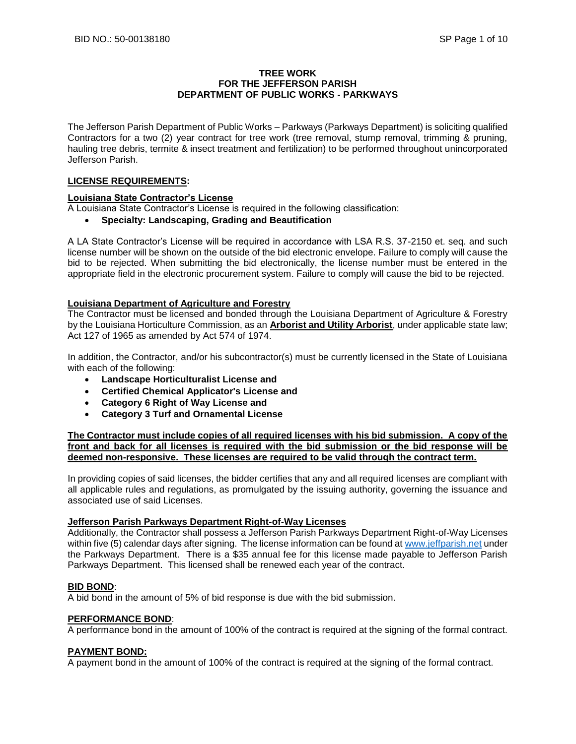### **TREE WORK FOR THE JEFFERSON PARISH DEPARTMENT OF PUBLIC WORKS - PARKWAYS**

The Jefferson Parish Department of Public Works – Parkways (Parkways Department) is soliciting qualified Contractors for a two (2) year contract for tree work (tree removal, stump removal, trimming & pruning, hauling tree debris, termite & insect treatment and fertilization) to be performed throughout unincorporated Jefferson Parish.

### **LICENSE REQUIREMENTS:**

### **Louisiana State Contractor's License**

A Louisiana State Contractor's License is required in the following classification:

• **Specialty: Landscaping, Grading and Beautification** 

A LA State Contractor's License will be required in accordance with LSA R.S. 37-2150 et. seq. and such license number will be shown on the outside of the bid electronic envelope. Failure to comply will cause the bid to be rejected. When submitting the bid electronically, the license number must be entered in the appropriate field in the electronic procurement system. Failure to comply will cause the bid to be rejected.

### **Louisiana Department of Agriculture and Forestry**

The Contractor must be licensed and bonded through the Louisiana Department of Agriculture & Forestry by the Louisiana Horticulture Commission, as an **Arborist and Utility Arborist**, under applicable state law; Act 127 of 1965 as amended by Act 574 of 1974.

In addition, the Contractor, and/or his subcontractor(s) must be currently licensed in the State of Louisiana with each of the following:

- **Landscape Horticulturalist License and**
- **Certified Chemical Applicator's License and**
- **Category 6 Right of Way License and**
- **Category 3 Turf and Ornamental License**

**The Contractor must include copies of all required licenses with his bid submission. A copy of the front and back for all licenses is required with the bid submission or the bid response will be deemed non-responsive. These licenses are required to be valid through the contract term.** 

In providing copies of said licenses, the bidder certifies that any and all required licenses are compliant with all applicable rules and regulations, as promulgated by the issuing authority, governing the issuance and associated use of said Licenses.

### **Jefferson Parish Parkways Department Right-of-Way Licenses**

Additionally, the Contractor shall possess a Jefferson Parish Parkways Department Right-of-Way Licenses within five (5) calendar days after signing. The license information can be found a[t www.jeffparish.net](http://www.jeffparish.net/) under the Parkways Department. There is a \$35 annual fee for this license made payable to Jefferson Parish Parkways Department. This licensed shall be renewed each year of the contract.

### **BID BOND**:

A bid bond in the amount of 5% of bid response is due with the bid submission.

### **PERFORMANCE BOND**:

A performance bond in the amount of 100% of the contract is required at the signing of the formal contract.

### **PAYMENT BOND:**

A payment bond in the amount of 100% of the contract is required at the signing of the formal contract.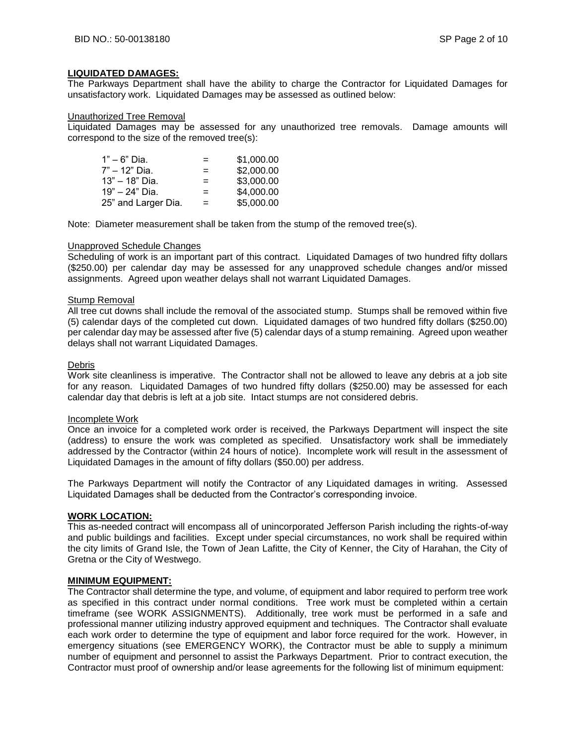### **LIQUIDATED DAMAGES:**

The Parkways Department shall have the ability to charge the Contractor for Liquidated Damages for unsatisfactory work. Liquidated Damages may be assessed as outlined below:

### Unauthorized Tree Removal

Liquidated Damages may be assessed for any unauthorized tree removals. Damage amounts will correspond to the size of the removed tree(s):

| 1" – 6" Dia.        | $=$ | \$1,000.00 |
|---------------------|-----|------------|
| 7" – 12" Dia.       | $=$ | \$2,000.00 |
| 13" – 18" Dia.      | $=$ | \$3,000.00 |
| 19" – 24" Dia.      | $=$ | \$4,000.00 |
| 25" and Larger Dia. | $=$ | \$5,000.00 |

Note: Diameter measurement shall be taken from the stump of the removed tree(s).

### Unapproved Schedule Changes

Scheduling of work is an important part of this contract. Liquidated Damages of two hundred fifty dollars (\$250.00) per calendar day may be assessed for any unapproved schedule changes and/or missed assignments. Agreed upon weather delays shall not warrant Liquidated Damages.

### Stump Removal

All tree cut downs shall include the removal of the associated stump. Stumps shall be removed within five (5) calendar days of the completed cut down. Liquidated damages of two hundred fifty dollars (\$250.00) per calendar day may be assessed after five (5) calendar days of a stump remaining. Agreed upon weather delays shall not warrant Liquidated Damages.

### Debris

Work site cleanliness is imperative. The Contractor shall not be allowed to leave any debris at a job site for any reason. Liquidated Damages of two hundred fifty dollars (\$250.00) may be assessed for each calendar day that debris is left at a job site. Intact stumps are not considered debris.

### Incomplete Work

Once an invoice for a completed work order is received, the Parkways Department will inspect the site (address) to ensure the work was completed as specified. Unsatisfactory work shall be immediately addressed by the Contractor (within 24 hours of notice). Incomplete work will result in the assessment of Liquidated Damages in the amount of fifty dollars (\$50.00) per address.

The Parkways Department will notify the Contractor of any Liquidated damages in writing. Assessed Liquidated Damages shall be deducted from the Contractor's corresponding invoice.

### **WORK LOCATION:**

This as-needed contract will encompass all of unincorporated Jefferson Parish including the rights-of-way and public buildings and facilities. Except under special circumstances, no work shall be required within the city limits of Grand Isle, the Town of Jean Lafitte, the City of Kenner, the City of Harahan, the City of Gretna or the City of Westwego.

### **MINIMUM EQUIPMENT:**

The Contractor shall determine the type, and volume, of equipment and labor required to perform tree work as specified in this contract under normal conditions. Tree work must be completed within a certain timeframe (see WORK ASSIGNMENTS). Additionally, tree work must be performed in a safe and professional manner utilizing industry approved equipment and techniques. The Contractor shall evaluate each work order to determine the type of equipment and labor force required for the work. However, in emergency situations (see EMERGENCY WORK), the Contractor must be able to supply a minimum number of equipment and personnel to assist the Parkways Department. Prior to contract execution, the Contractor must proof of ownership and/or lease agreements for the following list of minimum equipment: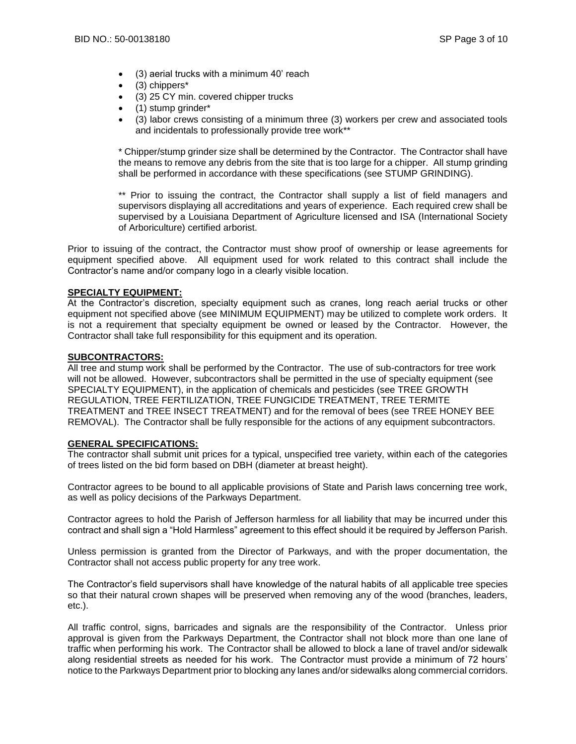- (3) aerial trucks with a minimum 40' reach
- (3) chippers\*
- (3) 25 CY min. covered chipper trucks
- (1) stump grinder\*
- (3) labor crews consisting of a minimum three (3) workers per crew and associated tools and incidentals to professionally provide tree work\*\*

\* Chipper/stump grinder size shall be determined by the Contractor. The Contractor shall have the means to remove any debris from the site that is too large for a chipper. All stump grinding shall be performed in accordance with these specifications (see STUMP GRINDING).

\*\* Prior to issuing the contract, the Contractor shall supply a list of field managers and supervisors displaying all accreditations and years of experience. Each required crew shall be supervised by a Louisiana Department of Agriculture licensed and ISA (International Society of Arboriculture) certified arborist.

Prior to issuing of the contract, the Contractor must show proof of ownership or lease agreements for equipment specified above. All equipment used for work related to this contract shall include the Contractor's name and/or company logo in a clearly visible location.

### **SPECIALTY EQUIPMENT:**

At the Contractor's discretion, specialty equipment such as cranes, long reach aerial trucks or other equipment not specified above (see MINIMUM EQUIPMENT) may be utilized to complete work orders. It is not a requirement that specialty equipment be owned or leased by the Contractor. However, the Contractor shall take full responsibility for this equipment and its operation.

### **SUBCONTRACTORS:**

All tree and stump work shall be performed by the Contractor. The use of sub-contractors for tree work will not be allowed. However, subcontractors shall be permitted in the use of specialty equipment (see SPECIALTY EQUIPMENT), in the application of chemicals and pesticides (see TREE GROWTH REGULATION, TREE FERTILIZATION, TREE FUNGICIDE TREATMENT, TREE TERMITE TREATMENT and TREE INSECT TREATMENT) and for the removal of bees (see TREE HONEY BEE REMOVAL). The Contractor shall be fully responsible for the actions of any equipment subcontractors.

### **GENERAL SPECIFICATIONS:**

The contractor shall submit unit prices for a typical, unspecified tree variety, within each of the categories of trees listed on the bid form based on DBH (diameter at breast height).

Contractor agrees to be bound to all applicable provisions of State and Parish laws concerning tree work, as well as policy decisions of the Parkways Department.

Contractor agrees to hold the Parish of Jefferson harmless for all liability that may be incurred under this contract and shall sign a "Hold Harmless" agreement to this effect should it be required by Jefferson Parish.

Unless permission is granted from the Director of Parkways, and with the proper documentation, the Contractor shall not access public property for any tree work.

The Contractor's field supervisors shall have knowledge of the natural habits of all applicable tree species so that their natural crown shapes will be preserved when removing any of the wood (branches, leaders, etc.).

All traffic control, signs, barricades and signals are the responsibility of the Contractor. Unless prior approval is given from the Parkways Department, the Contractor shall not block more than one lane of traffic when performing his work. The Contractor shall be allowed to block a lane of travel and/or sidewalk along residential streets as needed for his work. The Contractor must provide a minimum of 72 hours' notice to the Parkways Department prior to blocking any lanes and/or sidewalks along commercial corridors.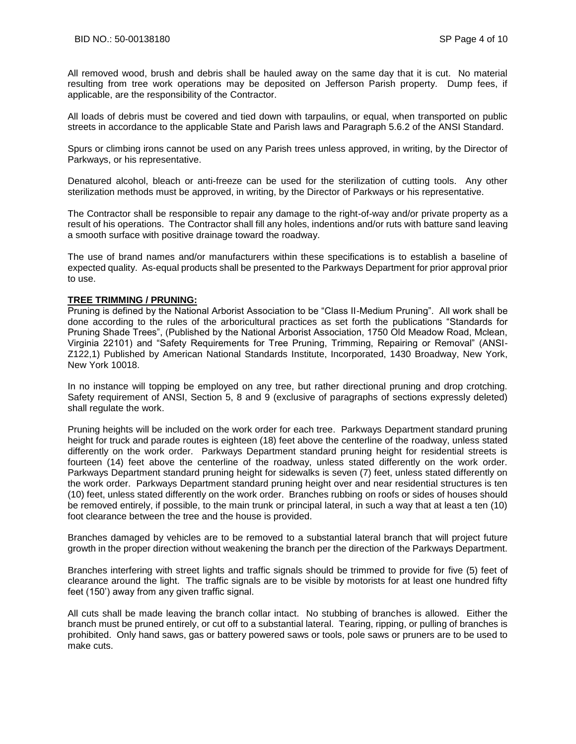All removed wood, brush and debris shall be hauled away on the same day that it is cut. No material resulting from tree work operations may be deposited on Jefferson Parish property. Dump fees, if applicable, are the responsibility of the Contractor.

All loads of debris must be covered and tied down with tarpaulins, or equal, when transported on public streets in accordance to the applicable State and Parish laws and Paragraph 5.6.2 of the ANSI Standard.

Spurs or climbing irons cannot be used on any Parish trees unless approved, in writing, by the Director of Parkways, or his representative.

Denatured alcohol, bleach or anti-freeze can be used for the sterilization of cutting tools. Any other sterilization methods must be approved, in writing, by the Director of Parkways or his representative.

The Contractor shall be responsible to repair any damage to the right-of-way and/or private property as a result of his operations. The Contractor shall fill any holes, indentions and/or ruts with batture sand leaving a smooth surface with positive drainage toward the roadway.

The use of brand names and/or manufacturers within these specifications is to establish a baseline of expected quality. As-equal products shall be presented to the Parkways Department for prior approval prior to use.

### **TREE TRIMMING / PRUNING:**

Pruning is defined by the National Arborist Association to be "Class II-Medium Pruning". All work shall be done according to the rules of the arboricultural practices as set forth the publications "Standards for Pruning Shade Trees", (Published by the National Arborist Association, 1750 Old Meadow Road, Mclean, Virginia 22101) and "Safety Requirements for Tree Pruning, Trimming, Repairing or Removal" (ANSI-Z122,1) Published by American National Standards Institute, Incorporated, 1430 Broadway, New York, New York 10018.

In no instance will topping be employed on any tree, but rather directional pruning and drop crotching. Safety requirement of ANSI, Section 5, 8 and 9 (exclusive of paragraphs of sections expressly deleted) shall regulate the work.

Pruning heights will be included on the work order for each tree. Parkways Department standard pruning height for truck and parade routes is eighteen (18) feet above the centerline of the roadway, unless stated differently on the work order. Parkways Department standard pruning height for residential streets is fourteen (14) feet above the centerline of the roadway, unless stated differently on the work order. Parkways Department standard pruning height for sidewalks is seven (7) feet, unless stated differently on the work order. Parkways Department standard pruning height over and near residential structures is ten (10) feet, unless stated differently on the work order. Branches rubbing on roofs or sides of houses should be removed entirely, if possible, to the main trunk or principal lateral, in such a way that at least a ten (10) foot clearance between the tree and the house is provided.

Branches damaged by vehicles are to be removed to a substantial lateral branch that will project future growth in the proper direction without weakening the branch per the direction of the Parkways Department.

Branches interfering with street lights and traffic signals should be trimmed to provide for five (5) feet of clearance around the light. The traffic signals are to be visible by motorists for at least one hundred fifty feet (150') away from any given traffic signal.

All cuts shall be made leaving the branch collar intact. No stubbing of branches is allowed. Either the branch must be pruned entirely, or cut off to a substantial lateral. Tearing, ripping, or pulling of branches is prohibited. Only hand saws, gas or battery powered saws or tools, pole saws or pruners are to be used to make cuts.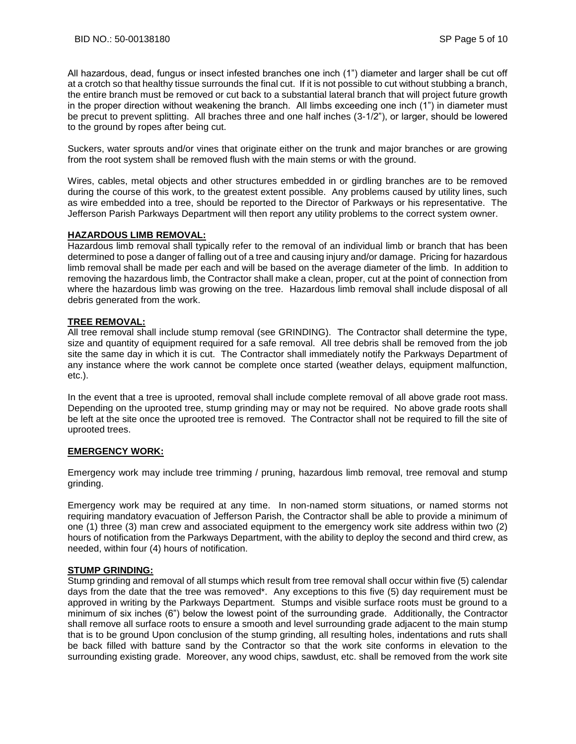All hazardous, dead, fungus or insect infested branches one inch (1") diameter and larger shall be cut off at a crotch so that healthy tissue surrounds the final cut. If it is not possible to cut without stubbing a branch, the entire branch must be removed or cut back to a substantial lateral branch that will project future growth in the proper direction without weakening the branch. All limbs exceeding one inch (1") in diameter must be precut to prevent splitting. All braches three and one half inches (3-1/2"), or larger, should be lowered to the ground by ropes after being cut.

Suckers, water sprouts and/or vines that originate either on the trunk and major branches or are growing from the root system shall be removed flush with the main stems or with the ground.

Wires, cables, metal objects and other structures embedded in or girdling branches are to be removed during the course of this work, to the greatest extent possible. Any problems caused by utility lines, such as wire embedded into a tree, should be reported to the Director of Parkways or his representative. The Jefferson Parish Parkways Department will then report any utility problems to the correct system owner.

### **HAZARDOUS LIMB REMOVAL:**

Hazardous limb removal shall typically refer to the removal of an individual limb or branch that has been determined to pose a danger of falling out of a tree and causing injury and/or damage. Pricing for hazardous limb removal shall be made per each and will be based on the average diameter of the limb. In addition to removing the hazardous limb, the Contractor shall make a clean, proper, cut at the point of connection from where the hazardous limb was growing on the tree. Hazardous limb removal shall include disposal of all debris generated from the work.

### **TREE REMOVAL:**

All tree removal shall include stump removal (see GRINDING). The Contractor shall determine the type, size and quantity of equipment required for a safe removal. All tree debris shall be removed from the job site the same day in which it is cut. The Contractor shall immediately notify the Parkways Department of any instance where the work cannot be complete once started (weather delays, equipment malfunction, etc.).

In the event that a tree is uprooted, removal shall include complete removal of all above grade root mass. Depending on the uprooted tree, stump grinding may or may not be required. No above grade roots shall be left at the site once the uprooted tree is removed. The Contractor shall not be required to fill the site of uprooted trees.

### **EMERGENCY WORK:**

Emergency work may include tree trimming / pruning, hazardous limb removal, tree removal and stump grinding.

Emergency work may be required at any time. In non-named storm situations, or named storms not requiring mandatory evacuation of Jefferson Parish, the Contractor shall be able to provide a minimum of one (1) three (3) man crew and associated equipment to the emergency work site address within two (2) hours of notification from the Parkways Department, with the ability to deploy the second and third crew, as needed, within four (4) hours of notification.

### **STUMP GRINDING:**

Stump grinding and removal of all stumps which result from tree removal shall occur within five (5) calendar days from the date that the tree was removed\*. Any exceptions to this five (5) day requirement must be approved in writing by the Parkways Department. Stumps and visible surface roots must be ground to a minimum of six inches (6") below the lowest point of the surrounding grade. Additionally, the Contractor shall remove all surface roots to ensure a smooth and level surrounding grade adjacent to the main stump that is to be ground Upon conclusion of the stump grinding, all resulting holes, indentations and ruts shall be back filled with batture sand by the Contractor so that the work site conforms in elevation to the surrounding existing grade. Moreover, any wood chips, sawdust, etc. shall be removed from the work site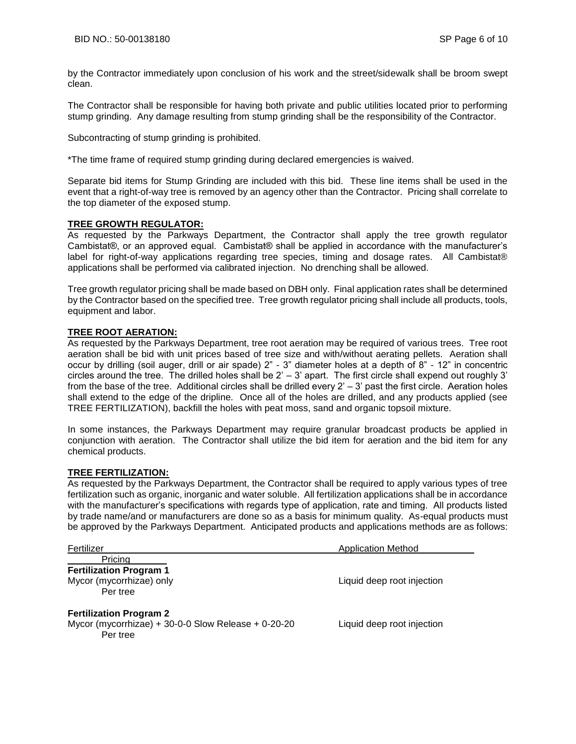by the Contractor immediately upon conclusion of his work and the street/sidewalk shall be broom swept clean.

The Contractor shall be responsible for having both private and public utilities located prior to performing stump grinding. Any damage resulting from stump grinding shall be the responsibility of the Contractor.

Subcontracting of stump grinding is prohibited.

\*The time frame of required stump grinding during declared emergencies is waived.

Separate bid items for Stump Grinding are included with this bid. These line items shall be used in the event that a right-of-way tree is removed by an agency other than the Contractor. Pricing shall correlate to the top diameter of the exposed stump.

### **TREE GROWTH REGULATOR:**

As requested by the Parkways Department, the Contractor shall apply the tree growth regulator Cambistat®, or an approved equal. Cambistat® shall be applied in accordance with the manufacturer's label for right-of-way applications regarding tree species, timing and dosage rates. All Cambistat® applications shall be performed via calibrated injection. No drenching shall be allowed.

Tree growth regulator pricing shall be made based on DBH only. Final application rates shall be determined by the Contractor based on the specified tree. Tree growth regulator pricing shall include all products, tools, equipment and labor.

### **TREE ROOT AERATION:**

As requested by the Parkways Department, tree root aeration may be required of various trees. Tree root aeration shall be bid with unit prices based of tree size and with/without aerating pellets. Aeration shall occur by drilling (soil auger, drill or air spade) 2" - 3" diameter holes at a depth of 8" - 12" in concentric circles around the tree. The drilled holes shall be  $2' - 3'$  apart. The first circle shall expend out roughly 3' from the base of the tree. Additional circles shall be drilled every 2' – 3' past the first circle. Aeration holes shall extend to the edge of the dripline. Once all of the holes are drilled, and any products applied (see TREE FERTILIZATION), backfill the holes with peat moss, sand and organic topsoil mixture.

In some instances, the Parkways Department may require granular broadcast products be applied in conjunction with aeration. The Contractor shall utilize the bid item for aeration and the bid item for any chemical products.

### **TREE FERTILIZATION:**

As requested by the Parkways Department, the Contractor shall be required to apply various types of tree fertilization such as organic, inorganic and water soluble. All fertilization applications shall be in accordance with the manufacturer's specifications with regards type of application, rate and timing. All products listed by trade name/and or manufacturers are done so as a basis for minimum quality. As-equal products must be approved by the Parkways Department. Anticipated products and applications methods are as follows:

| Fertilizer                                                                                        | <b>Application Method</b>  |  |  |
|---------------------------------------------------------------------------------------------------|----------------------------|--|--|
| Pricing<br><b>Fertilization Program 1</b><br>Mycor (mycorrhizae) only<br>Per tree                 | Liquid deep root injection |  |  |
| <b>Fertilization Program 2</b><br>Mycor (mycorrhizae) + 30-0-0 Slow Release + 0-20-20<br>Per tree | Liquid deep root injection |  |  |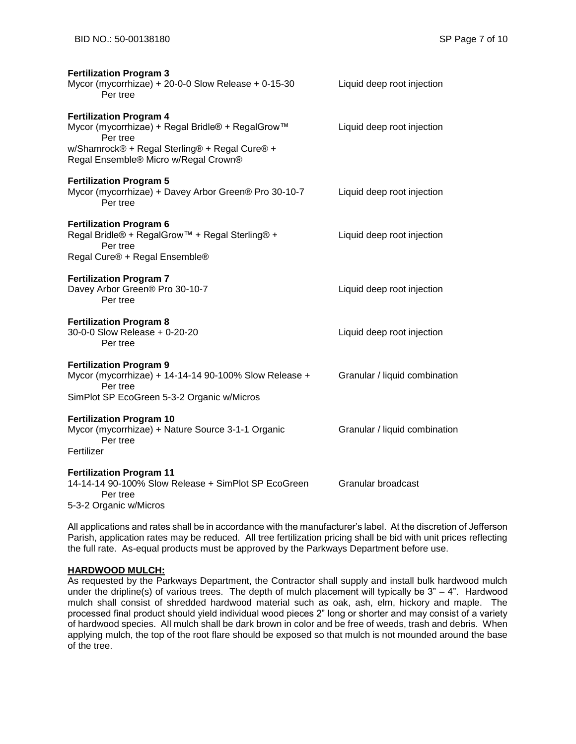| <b>Fertilization Program 3</b>                                                                                                                    |                               |
|---------------------------------------------------------------------------------------------------------------------------------------------------|-------------------------------|
| Mycor (mycorrhizae) + 20-0-0 Slow Release + 0-15-30<br>Per tree                                                                                   | Liquid deep root injection    |
| <b>Fertilization Program 4</b><br>Mycor (mycorrhizae) + Regal Bridle® + RegalGrow™<br>Per tree                                                    | Liquid deep root injection    |
| w/Shamrock® + Regal Sterling® + Regal Cure® +<br>Regal Ensemble® Micro w/Regal Crown®                                                             |                               |
| <b>Fertilization Program 5</b><br>Mycor (mycorrhizae) + Davey Arbor Green® Pro 30-10-7<br>Per tree                                                | Liquid deep root injection    |
| <b>Fertilization Program 6</b><br>Regal Bridle® + RegalGrow™ + Regal Sterling® +<br>Per tree<br>Regal Cure® + Regal Ensemble®                     | Liquid deep root injection    |
| <b>Fertilization Program 7</b><br>Davey Arbor Green® Pro 30-10-7<br>Per tree                                                                      | Liquid deep root injection    |
| <b>Fertilization Program 8</b><br>30-0-0 Slow Release + 0-20-20<br>Per tree                                                                       | Liquid deep root injection    |
| <b>Fertilization Program 9</b><br>Mycor (mycorrhizae) + 14-14-14 90-100% Slow Release +<br>Per tree<br>SimPlot SP EcoGreen 5-3-2 Organic w/Micros | Granular / liquid combination |
| <b>Fertilization Program 10</b><br>Mycor (mycorrhizae) + Nature Source 3-1-1 Organic<br>Per tree<br>Fertilizer                                    | Granular / liquid combination |
| <b>Fertilization Program 11</b><br>14-14-14 90-100% Slow Release + SimPlot SP EcoGreen<br>Per tree<br>5-3-2 Organic w/Micros                      | Granular broadcast            |

All applications and rates shall be in accordance with the manufacturer's label. At the discretion of Jefferson Parish, application rates may be reduced. All tree fertilization pricing shall be bid with unit prices reflecting the full rate. As-equal products must be approved by the Parkways Department before use.

### **HARDWOOD MULCH:**

As requested by the Parkways Department, the Contractor shall supply and install bulk hardwood mulch under the dripline(s) of various trees. The depth of mulch placement will typically be 3" – 4". Hardwood mulch shall consist of shredded hardwood material such as oak, ash, elm, hickory and maple. The processed final product should yield individual wood pieces 2" long or shorter and may consist of a variety of hardwood species. All mulch shall be dark brown in color and be free of weeds, trash and debris. When applying mulch, the top of the root flare should be exposed so that mulch is not mounded around the base of the tree.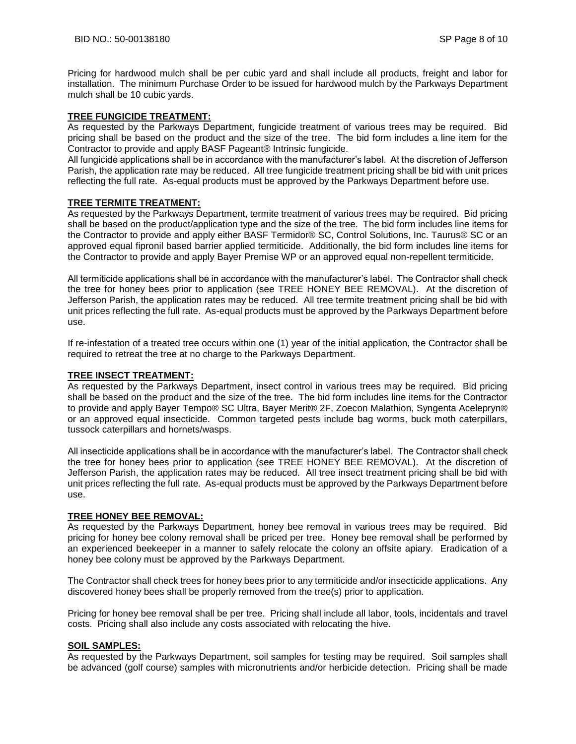Pricing for hardwood mulch shall be per cubic yard and shall include all products, freight and labor for installation. The minimum Purchase Order to be issued for hardwood mulch by the Parkways Department mulch shall be 10 cubic yards.

### **TREE FUNGICIDE TREATMENT:**

As requested by the Parkways Department, fungicide treatment of various trees may be required. Bid pricing shall be based on the product and the size of the tree. The bid form includes a line item for the Contractor to provide and apply BASF Pageant® Intrinsic fungicide.

All fungicide applications shall be in accordance with the manufacturer's label. At the discretion of Jefferson Parish, the application rate may be reduced. All tree fungicide treatment pricing shall be bid with unit prices reflecting the full rate. As-equal products must be approved by the Parkways Department before use.

### **TREE TERMITE TREATMENT:**

As requested by the Parkways Department, termite treatment of various trees may be required. Bid pricing shall be based on the product/application type and the size of the tree. The bid form includes line items for the Contractor to provide and apply either BASF Termidor® SC, Control Solutions, Inc. Taurus® SC or an approved equal fipronil based barrier applied termiticide. Additionally, the bid form includes line items for the Contractor to provide and apply Bayer Premise WP or an approved equal non-repellent termiticide.

All termiticide applications shall be in accordance with the manufacturer's label. The Contractor shall check the tree for honey bees prior to application (see TREE HONEY BEE REMOVAL). At the discretion of Jefferson Parish, the application rates may be reduced. All tree termite treatment pricing shall be bid with unit prices reflecting the full rate. As-equal products must be approved by the Parkways Department before use.

If re-infestation of a treated tree occurs within one (1) year of the initial application, the Contractor shall be required to retreat the tree at no charge to the Parkways Department.

### **TREE INSECT TREATMENT:**

As requested by the Parkways Department, insect control in various trees may be required. Bid pricing shall be based on the product and the size of the tree. The bid form includes line items for the Contractor to provide and apply Bayer Tempo® SC Ultra, Bayer Merit® 2F, Zoecon Malathion, Syngenta Acelepryn® or an approved equal insecticide. Common targeted pests include bag worms, buck moth caterpillars, tussock caterpillars and hornets/wasps.

All insecticide applications shall be in accordance with the manufacturer's label. The Contractor shall check the tree for honey bees prior to application (see TREE HONEY BEE REMOVAL). At the discretion of Jefferson Parish, the application rates may be reduced. All tree insect treatment pricing shall be bid with unit prices reflecting the full rate. As-equal products must be approved by the Parkways Department before use.

### **TREE HONEY BEE REMOVAL:**

As requested by the Parkways Department, honey bee removal in various trees may be required. Bid pricing for honey bee colony removal shall be priced per tree. Honey bee removal shall be performed by an experienced beekeeper in a manner to safely relocate the colony an offsite apiary. Eradication of a honey bee colony must be approved by the Parkways Department.

The Contractor shall check trees for honey bees prior to any termiticide and/or insecticide applications. Any discovered honey bees shall be properly removed from the tree(s) prior to application.

Pricing for honey bee removal shall be per tree. Pricing shall include all labor, tools, incidentals and travel costs. Pricing shall also include any costs associated with relocating the hive.

## **SOIL SAMPLES:**

As requested by the Parkways Department, soil samples for testing may be required. Soil samples shall be advanced (golf course) samples with micronutrients and/or herbicide detection. Pricing shall be made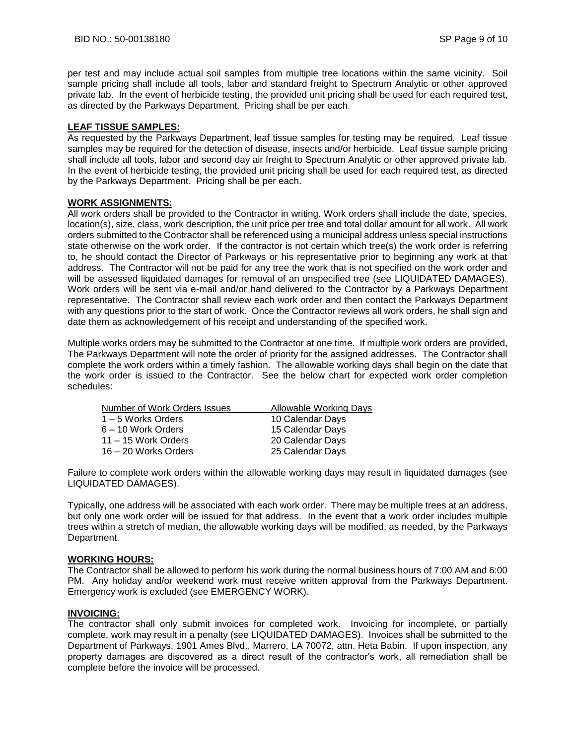per test and may include actual soil samples from multiple tree locations within the same vicinity. Soil sample pricing shall include all tools, labor and standard freight to Spectrum Analytic or other approved private lab. In the event of herbicide testing, the provided unit pricing shall be used for each required test, as directed by the Parkways Department. Pricing shall be per each.

### **LEAF TISSUE SAMPLES:**

As requested by the Parkways Department, leaf tissue samples for testing may be required. Leaf tissue samples may be required for the detection of disease, insects and/or herbicide. Leaf tissue sample pricing shall include all tools, labor and second day air freight to Spectrum Analytic or other approved private lab. In the event of herbicide testing, the provided unit pricing shall be used for each required test, as directed by the Parkways Department. Pricing shall be per each.

### **WORK ASSIGNMENTS:**

All work orders shall be provided to the Contractor in writing. Work orders shall include the date, species, location(s), size, class, work description, the unit price per tree and total dollar amount for all work. All work orders submitted to the Contractor shall be referenced using a municipal address unless special instructions state otherwise on the work order. If the contractor is not certain which tree(s) the work order is referring to, he should contact the Director of Parkways or his representative prior to beginning any work at that address. The Contractor will not be paid for any tree the work that is not specified on the work order and will be assessed liquidated damages for removal of an unspecified tree (see LIQUIDATED DAMAGES). Work orders will be sent via e-mail and/or hand delivered to the Contractor by a Parkways Department representative. The Contractor shall review each work order and then contact the Parkways Department with any questions prior to the start of work. Once the Contractor reviews all work orders, he shall sign and date them as acknowledgement of his receipt and understanding of the specified work.

Multiple works orders may be submitted to the Contractor at one time. If multiple work orders are provided, The Parkways Department will note the order of priority for the assigned addresses. The Contractor shall complete the work orders within a timely fashion. The allowable working days shall begin on the date that the work order is issued to the Contractor. See the below chart for expected work order completion schedules:

| Allowable Working Days |
|------------------------|
| 10 Calendar Days       |
| 15 Calendar Days       |
| 20 Calendar Days       |
| 25 Calendar Days       |
|                        |

Failure to complete work orders within the allowable working days may result in liquidated damages (see LIQUIDATED DAMAGES).

Typically, one address will be associated with each work order. There may be multiple trees at an address, but only one work order will be issued for that address. In the event that a work order includes multiple trees within a stretch of median, the allowable working days will be modified, as needed, by the Parkways Department.

### **WORKING HOURS:**

The Contractor shall be allowed to perform his work during the normal business hours of 7:00 AM and 6:00 PM. Any holiday and/or weekend work must receive written approval from the Parkways Department. Emergency work is excluded (see EMERGENCY WORK).

### **INVOICING:**

The contractor shall only submit invoices for completed work. Invoicing for incomplete, or partially complete, work may result in a penalty (see LIQUIDATED DAMAGES). Invoices shall be submitted to the Department of Parkways, 1901 Ames Blvd., Marrero, LA 70072, attn. Heta Babin. If upon inspection, any property damages are discovered as a direct result of the contractor's work, all remediation shall be complete before the invoice will be processed.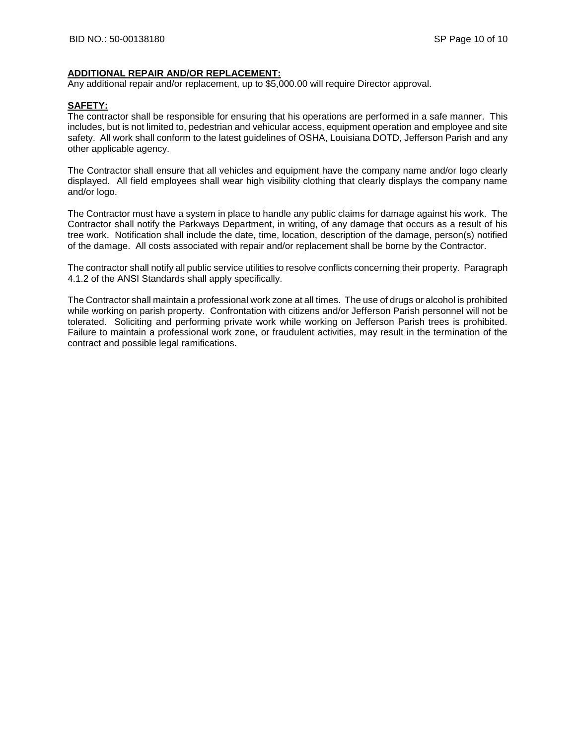### **ADDITIONAL REPAIR AND/OR REPLACEMENT:**

Any additional repair and/or replacement, up to \$5,000.00 will require Director approval.

### **SAFETY:**

The contractor shall be responsible for ensuring that his operations are performed in a safe manner. This includes, but is not limited to, pedestrian and vehicular access, equipment operation and employee and site safety. All work shall conform to the latest guidelines of OSHA, Louisiana DOTD, Jefferson Parish and any other applicable agency.

The Contractor shall ensure that all vehicles and equipment have the company name and/or logo clearly displayed. All field employees shall wear high visibility clothing that clearly displays the company name and/or logo.

The Contractor must have a system in place to handle any public claims for damage against his work. The Contractor shall notify the Parkways Department, in writing, of any damage that occurs as a result of his tree work. Notification shall include the date, time, location, description of the damage, person(s) notified of the damage. All costs associated with repair and/or replacement shall be borne by the Contractor.

The contractor shall notify all public service utilities to resolve conflicts concerning their property. Paragraph 4.1.2 of the ANSI Standards shall apply specifically.

The Contractor shall maintain a professional work zone at all times. The use of drugs or alcohol is prohibited while working on parish property. Confrontation with citizens and/or Jefferson Parish personnel will not be tolerated. Soliciting and performing private work while working on Jefferson Parish trees is prohibited. Failure to maintain a professional work zone, or fraudulent activities, may result in the termination of the contract and possible legal ramifications.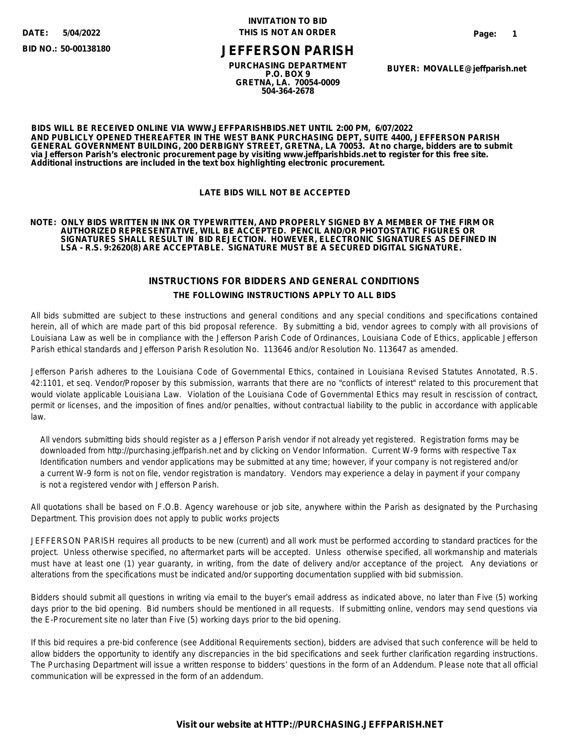**5/04/2022**

**BID NO.: 50-00138180**

### **INVITATION TO BID DATE: THIS IS NOT AN ORDER**

**Page: 1**

# **JEFFERSON PARISH**

**PURCHASING DEPARTMENT P.O. BOX 9 GRETNA, LA. 70054-0009 504-364-2678**

**BUYER: MOVALLE@jeffparish.net**

**BIDS WILL BE RECEIVED ONLINE VIA WWW.JEFFPARISHBIDS.NET UNTIL 2:00 PM, 6/07/2022 AND PUBLICLY OPENED THEREAFTER IN THE WEST BANK PURCHASING DEPT, SUITE 4400, JEFFERSON PARISH GENERAL GOVERNMENT BUILDING, 200 DERBIGNY STREET, GRETNA, LA 70053. At no charge, bidders are to submit via Jefferson Parish's electronic procurement page by visiting www.jeffparishbids.net to register for this free site. Additional instructions are included in the text box highlighting electronic procurement.**

### **LATE BIDS WILL NOT BE ACCEPTED**

#### **NOTE: ONLY BIDS WRITTEN IN INK OR TYPEWRITTEN, AND PROPERLY SIGNED BY A MEMBER OF THE FIRM OR AUTHORIZED REPRESENTATIVE, WILL BE ACCEPTED. PENCIL AND/OR PHOTOSTATIC FIGURES OR SIGNATURES SHALL RESULT IN BID REJECTION. HOWEVER, ELECTRONIC SIGNATURES AS DEFINED IN LSA - R.S. 9:2620(8) ARE ACCEPTABLE. SIGNATURE MUST BE A SECURED DIGITAL SIGNATURE.**

### **INSTRUCTIONS FOR BIDDERS AND GENERAL CONDITIONS THE FOLLOWING INSTRUCTIONS APPLY TO ALL BIDS**

All bids submitted are subject to these instructions and general conditions and any special conditions and specifications contained herein, all of which are made part of this bid proposal reference. By submitting a bid, vendor agrees to comply with all provisions of Louisiana Law as well be in compliance with the Jefferson Parish Code of Ordinances, Louisiana Code of Ethics, applicable Jefferson Parish ethical standards and Jefferson Parish Resolution No. 113646 and/or Resolution No. 113647 as amended.

Jefferson Parish adheres to the Louisiana Code of Governmental Ethics, contained in Louisiana Revised Statutes Annotated, R.S. 42:1101, et seq. Vendor/Proposer by this submission, warrants that there are no "conflicts of interest" related to this procurement that would violate applicable Louisiana Law. Violation of the Louisiana Code of Governmental Ethics may result in rescission of contract, permit or licenses, and the imposition of fines and/or penalties, without contractual liability to the public in accordance with applicable law.

 All vendors submitting bids should register as a Jefferson Parish vendor if not already yet registered. Registration forms may be downloaded from http://purchasing.jeffparish.net and by clicking on Vendor Information. Current W-9 forms with respective Tax Identification numbers and vendor applications may be submitted at any time; however, if your company is not registered and/or a current W-9 form is not on file, vendor registration is mandatory. Vendors may experience a delay in payment if your company is not a registered vendor with Jefferson Parish.

All quotations shall be based on F.O.B. Agency warehouse or job site, anywhere within the Parish as designated by the Purchasing Department. This provision does not apply to public works projects

JEFFERSON PARISH requires all products to be new (current) and all work must be performed according to standard practices for the project. Unless otherwise specified, no aftermarket parts will be accepted. Unless otherwise specified, all workmanship and materials must have at least one (1) year guaranty, in writing, from the date of delivery and/or acceptance of the project. Any deviations or alterations from the specifications must be indicated and/or supporting documentation supplied with bid submission.

Bidders should submit all questions in writing via email to the buyer's email address as indicated above, no later than Five (5) working days prior to the bid opening. Bid numbers should be mentioned in all requests. If submitting online, vendors may send questions via the E-Procurement site no later than Five (5) working days prior to the bid opening.

If this bid requires a pre-bid conference (see Additional Requirements section), bidders are advised that such conference will be held to allow bidders the opportunity to identify any discrepancies in the bid specifications and seek further clarification regarding instructions. The Purchasing Department will issue a written response to bidders' questions in the form of an Addendum. Please note that all official communication will be expressed in the form of an addendum.

### **Visit our website at HTTP://PURCHASING.JEFFPARISH.NET**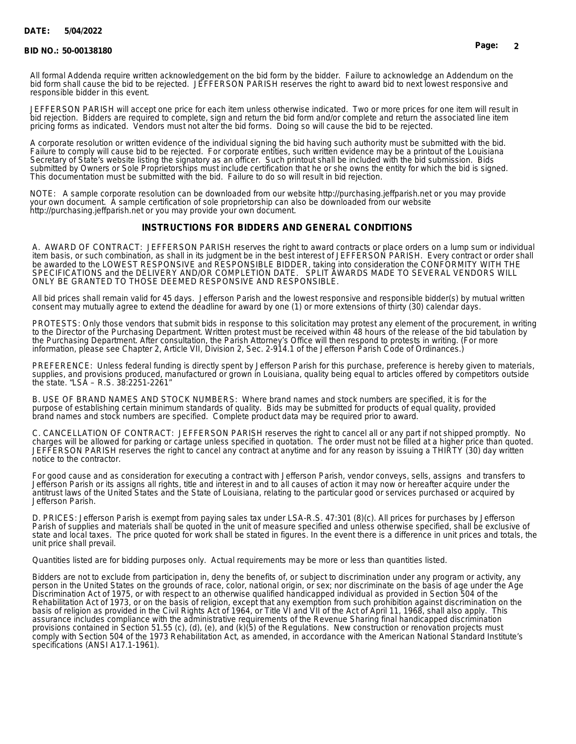#### **BID NO.: 50-00138180 Page: 2**

All formal Addenda require written acknowledgement on the bid form by the bidder. Failure to acknowledge an Addendum on the bid form shall cause the bid to be rejected. JEFFERSON PARISH reserves the right to award bid to next lowest responsive and responsible bidder in this event.

JEFFERSON PARISH will accept one price for each item unless otherwise indicated. Two or more prices for one item will result in bid rejection. Bidders are required to complete, sign and return the bid form and/or complete and return the associated line item pricing forms as indicated. Vendors must not alter the bid forms. Doing so will cause the bid to be rejected.

A corporate resolution or written evidence of the individual signing the bid having such authority must be submitted with the bid. Failure to comply will cause bid to be rejected. For corporate entities, such written evidence may be a printout of the Louisiana Secretary of State's website listing the signatory as an officer. Such printout shall be included with the bid submission. Bids submitted by Owners or Sole Proprietorships must include certification that he or she owns the entity for which the bid is signed. This documentation must be submitted with the bid. Failure to do so will result in bid rejection.

NOTE: A sample corporate resolution can be downloaded from our website http://purchasing.jeffparish.net or you may provide your own document. A sample certification of sole proprietorship can also be downloaded from our website http://purchasing.jeffparish.net or you may provide your own document.

### **INSTRUCTIONS FOR BIDDERS AND GENERAL CONDITIONS**

A. AWARD OF CONTRACT: JEFFERSON PARISH reserves the right to award contracts or place orders on a lump sum or individual item basis, or such combination, as shall in its judgment be in the best interest of JEFFERSON PARISH. Every contract or order shall be awarded to the LOWEST RESPONSIVE and RESPONSIBLE BIDDER, taking into consideration the CONFORMITY WITH THE SPECIFICATIONS and the DELIVERY AND/OR COMPLETION DATE. SPLIT AWARDS MADE TO SEVERAL VENDORS WILL ONLY BE GRANTED TO THOSE DEEMED RESPONSIVE AND RESPONSIBLE.

All bid prices shall remain valid for 45 days. Jefferson Parish and the lowest responsive and responsible bidder(s) by mutual written consent may mutually agree to extend the deadline for award by one (1) or more extensions of thirty (30) calendar days.

PROTESTS: Only those vendors that submit bids in response to this solicitation may protest any element of the procurement, in writing to the Director of the Purchasing Department. Written protest must be received within 48 hours of the release of the bid tabulation by the Purchasing Department. After consultation, the Parish Attorney's Office will then respond to protests in writing. (For more information, please see Chapter 2, Article VII, Division 2, Sec. 2-914.1 of the Jefferson Parish Code of Ordinances.)

PREFERENCE: Unless federal funding is directly spent by Jefferson Parish for this purchase, preference is hereby given to materials, supplies, and provisions produced, manufactured or grown in Louisiana, quality being equal to articles offered by competitors outside the state. "LSA – R.S. 38:2251-2261"

B. USE OF BRAND NAMES AND STOCK NUMBERS: Where brand names and stock numbers are specified, it is for the purpose of establishing certain minimum standards of quality. Bids may be submitted for products of equal quality, provided brand names and stock numbers are specified. Complete product data may be required prior to award.

C. CANCELLATION OF CONTRACT: JEFFERSON PARISH reserves the right to cancel all or any part if not shipped promptly. No charges will be allowed for parking or cartage unless specified in quotation. The order must not be filled at a higher price than quoted. JEFFERSON PARISH reserves the right to cancel any contract at anytime and for any reason by issuing a THIRTY (30) day written notice to the contractor.

For good cause and as consideration for executing a contract with Jefferson Parish, vendor conveys, sells, assigns and transfers to Jefferson Parish or its assigns all rights, title and interest in and to all causes of action it may now or hereafter acquire under the antitrust laws of the United States and the State of Louisiana, relating to the particular good or services purchased or acquired by Jefferson Parish.

D. PRICES: Jefferson Parish is exempt from paying sales tax under LSA-R.S. 47:301 (8)(c). All prices for purchases by Jefferson Parish of supplies and materials shall be quoted in the unit of measure specified and unless otherwise specified, shall be exclusive of state and local taxes. The price quoted for work shall be stated in figures. In the event there is a difference in unit prices and totals, the unit price shall prevail.

Quantities listed are for bidding purposes only. Actual requirements may be more or less than quantities listed.

Bidders are not to exclude from participation in, deny the benefits of, or subject to discrimination under any program or activity, any person in the United States on the grounds of race, color, national origin, or sex; nor discriminate on the basis of age under the Age Discrimination Act of 1975, or with respect to an otherwise qualified handicapped individual as provided in Section 504 of the Rehabilitation Act of 1973, or on the basis of religion, except that any exemption from such prohibition against discrimination on the basis of religion as provided in the Civil Rights Act of 1964, or Title VI and VII of the Act of April 11, 1968, shall also apply. This assurance includes compliance with the administrative requirements of the Revenue Sharing final handicapped discrimination provisions contained in Section 51.55 (c), (d), (e), and (k)(5) of the Regulations. New construction or renovation projects must comply with Section 504 of the 1973 Rehabilitation Act, as amended, in accordance with the American National Standard Institute's specifications (ANSI A17.1-1961).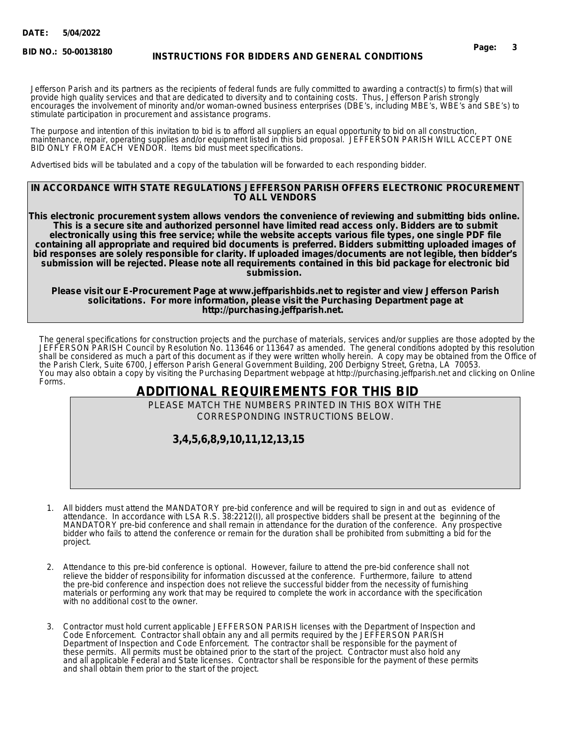**BID NO.:**

# **50-00138180 Page: 3 INSTRUCTIONS FOR BIDDERS AND GENERAL CONDITIONS**

Jefferson Parish and its partners as the recipients of federal funds are fully committed to awarding a contract(s) to firm(s) that will provide high quality services and that are dedicated to diversity and to containing costs. Thus, Jefferson Parish strongly encourages the involvement of minority and/or woman-owned business enterprises (DBE's, including MBE's, WBE's and SBE's) to stimulate participation in procurement and assistance programs.

The purpose and intention of this invitation to bid is to afford all suppliers an equal opportunity to bid on all construction, maintenance, repair, operating supplies and/or equipment listed in this bid proposal. JEFFERSON PARISH WILL ACCEPT ONE BID ONLY FROM EACH VENDOR. Items bid must meet specifications.

Advertised bids will be tabulated and a copy of the tabulation will be forwarded to each responding bidder.

### **IN ACCORDANCE WITH STATE REGULATIONS JEFFERSON PARISH OFFERS ELECTRONIC PROCUREMENT TO ALL VENDORS**

**This electronic procurement system allows vendors the convenience of reviewing and submitting bids online. This is a secure site and authorized personnel have limited read access only. Bidders are to submit electronically using this free service; while the website accepts various file types, one single PDF file containing all appropriate and required bid documents is preferred. Bidders submitting uploaded images of bid responses are solely responsible for clarity. If uploaded images/documents are not legible, then bidder's submission will be rejected. Please note all requirements contained in this bid package for electronic bid submission.** 

**Please visit our E-Procurement Page at www.jeffparishbids.net to register and view Jefferson Parish solicitations. For more information, please visit the Purchasing Department page at http://purchasing.jeffparish.net.** 

The general specifications for construction projects and the purchase of materials, services and/or supplies are those adopted by the JEFFERSON PARISH Council by Resolution No. 113646 or 113647 as amended. The general conditions adopted by this resolution shall be considered as much a part of this document as if they were written wholly herein. A copy may be obtained from the Office of the Parish Clerk, Suite 6700, Jefferson Parish General Government Building, 200 Derbigny Street, Gretna, LA 70053. You may also obtain a copy by visiting the Purchasing Department webpage at http://purchasing.jeffparish.net and clicking on Online Forms.

# **ADDITIONAL REQUIREMENTS FOR THIS BID**

PLEASE MATCH THE NUMBERS PRINTED IN THIS BOX WITH THE CORRESPONDING INSTRUCTIONS BELOW.

# **3,4,5,6,8,9,10,11,12,13,15**

- 1. All bidders must attend the MANDATORY pre-bid conference and will be required to sign in and out as evidence of attendance. In accordance with LSA R.S. 38:2212(I), all prospective bidders shall be present at the beginning of the MANDATORY pre-bid conference and shall remain in attendance for the duration of the conference. Any prospective bidder who fails to attend the conference or remain for the duration shall be prohibited from submitting a bid for the project.
- 2. Attendance to this pre-bid conference is optional. However, failure to attend the pre-bid conference shall not relieve the bidder of responsibility for information discussed at the conference. Furthermore, failure to attend the pre-bid conference and inspection does not relieve the successful bidder from the necessity of furnishing materials or performing any work that may be required to complete the work in accordance with the specification with no additional cost to the owner.
- 3. Contractor must hold current applicable JEFFERSON PARISH licenses with the Department of Inspection and Code Enforcement. Contractor shall obtain any and all permits required by the JEFFERSON PARISH Department of Inspection and Code Enforcement. The contractor shall be responsible for the payment of these permits. All permits must be obtained prior to the start of the project. Contractor must also hold any and all applicable Federal and State licenses. Contractor shall be responsible for the payment of these permits and shall obtain them prior to the start of the project.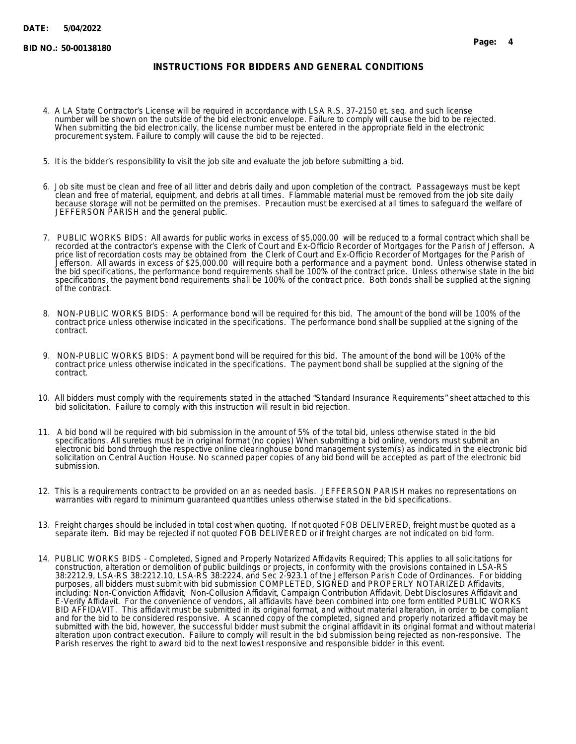### **INSTRUCTIONS FOR BIDDERS AND GENERAL CONDITIONS**

- 4. A LA State Contractor's License will be required in accordance with LSA R.S. 37-2150 et. seq. and such license number will be shown on the outside of the bid electronic envelope. Failure to comply will cause the bid to be rejected. When submitting the bid electronically, the license number must be entered in the appropriate field in the electronic procurement system. Failure to comply will cause the bid to be rejected.
- 5. It is the bidder's responsibility to visit the job site and evaluate the job before submitting a bid.
- 6. Job site must be clean and free of all litter and debris daily and upon completion of the contract. Passageways must be kept clean and free of material, equipment, and debris at all times. Flammable material must be removed from the job site daily because storage will not be permitted on the premises. Precaution must be exercised at all times to safeguard the welfare of JEFFERSON PARISH and the general public.
- 7. PUBLIC WORKS BIDS: All awards for public works in excess of \$5,000.00 will be reduced to a formal contract which shall be recorded at the contractor's expense with the Clerk of Court and Ex-Officio Recorder of Mortgages for the Parish of Jefferson. A price list of recordation costs may be obtained from the Clerk of Court and Ex-Officio Recorder of Mortgages for the Parish of Jefferson. All awards in excess of \$25,000.00 will require both a performance and a payment bond. Unless otherwise stated in the bid specifications, the performance bond requirements shall be 100% of the contract price. Unless otherwise state in the bid specifications, the payment bond requirements shall be 100% of the contract price. Both bonds shall be supplied at the signing of the contract.
- 8. NON-PUBLIC WORKS BIDS: A performance bond will be required for this bid. The amount of the bond will be 100% of the contract price unless otherwise indicated in the specifications. The performance bond shall be supplied at the signing of the contract.
- 9. NON-PUBLIC WORKS BIDS: A payment bond will be required for this bid. The amount of the bond will be 100% of the contract price unless otherwise indicated in the specifications. The payment bond shall be supplied at the signing of the contract.
- 10. All bidders must comply with the requirements stated in the attached "Standard Insurance Requirements" sheet attached to this bid solicitation. Failure to comply with this instruction will result in bid rejection.
- 11. A bid bond will be required with bid submission in the amount of 5% of the total bid, unless otherwise stated in the bid specifications. All sureties must be in original format (no copies) When submitting a bid online, vendors must submit an electronic bid bond through the respective online clearinghouse bond management system(s) as indicated in the electronic bid solicitation on Central Auction House. No scanned paper copies of any bid bond will be accepted as part of the electronic bid submission.
- 12. This is a requirements contract to be provided on an as needed basis. JEFFERSON PARISH makes no representations on warranties with regard to minimum guaranteed quantities unless otherwise stated in the bid specifications.
- 13. Freight charges should be included in total cost when quoting. If not quoted FOB DELIVERED, freight must be quoted as a separate item. Bid may be rejected if not quoted FOB DELIVERED or if freight charges are not indicated on bid form.
- 14. PUBLIC WORKS BIDS Completed, Signed and Properly Notarized Affidavits Required; This applies to all solicitations for construction, alteration or demolition of public buildings or projects, in conformity with the provisions contained in LSA-RS 38:2212.9, LSA-RS 38:2212.10, LSA-RS 38:2224, and Sec 2-923.1 of the Jefferson Parish Code of Ordinances. For bidding purposes, all bidders must submit with bid submission COMPLETED, SIGNED and PROPERLY NOTARIZED Affidavits, including: Non-Conviction Affidavit, Non-Collusion Affidavit, Campaign Contribution Affidavit, Debt Disclosures Affidavit and E-Verify Affidavit. For the convenience of vendors, all affidavits have been combined into one form entitled PUBLIC WORKS BID AFFIDAVIT. This affidavit must be submitted in its original format, and without material alteration, in order to be compliant and for the bid to be considered responsive. A scanned copy of the completed, signed and properly notarized affidavit may be submitted with the bid, however, the successful bidder must submit the original affidavit in its original format and without material alteration upon contract execution. Failure to comply will result in the bid submission being rejected as non-responsive. The Parish reserves the right to award bid to the next lowest responsive and responsible bidder in this event.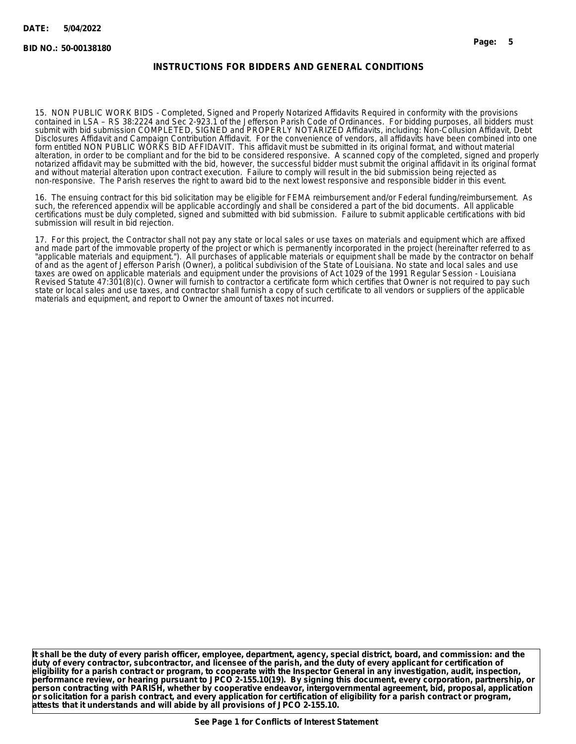### **INSTRUCTIONS FOR BIDDERS AND GENERAL CONDITIONS**

15. NON PUBLIC WORK BIDS - Completed, Signed and Properly Notarized Affidavits Required in conformity with the provisions contained in LSA – RS 38:2224 and Sec 2-923.1 of the Jefferson Parish Code of Ordinances. For bidding purposes, all bidders must submit with bid submission COMPLETED, SIGNED and PROPERLY NOTARIZED Affidavits, including: Non-Collusion Affidavit, Debt Disclosures Affidavit and Campaign Contribution Affidavit. For the convenience of vendors, all affidavits have been combined into one form entitled NON PUBLIC WORKS BID AFFIDAVIT. This affidavit must be submitted in its original format, and without material alteration, in order to be compliant and for the bid to be considered responsive. A scanned copy of the completed, signed and properly notarized affidavit may be submitted with the bid, however, the successful bidder must submit the original affidavit in its original format and without material alteration upon contract execution. Failure to comply will result in the bid submission being rejected as non-responsive. The Parish reserves the right to award bid to the next lowest responsive and responsible bidder in this event.

16. The ensuing contract for this bid solicitation may be eligible for FEMA reimbursement and/or Federal funding/reimbursement. As such, the referenced appendix will be applicable accordingly and shall be considered a part of the bid documents. All applicable certifications must be duly completed, signed and submitted with bid submission. Failure to submit applicable certifications with bid submission will result in bid rejection.

17. For this project, the Contractor shall not pay any state or local sales or use taxes on materials and equipment which are affixed and made part of the immovable property of the project or which is permanently incorporated in the project (hereinafter referred to as "applicable materials and equipment."). All purchases of applicable materials or equipment shall be made by the contractor on behalf of and as the agent of Jefferson Parish (Owner), a political subdivision of the State of Louisiana. No state and local sales and use taxes are owed on applicable materials and equipment under the provisions of Act 1029 of the 1991 Regular Session - Louisiana Revised Statute 47:301(8)(c). Owner will furnish to contractor a certificate form which certifies that Owner is not required to pay such state or local sales and use taxes, and contractor shall furnish a copy of such certificate to all vendors or suppliers of the applicable materials and equipment, and report to Owner the amount of taxes not incurred.

**It shall be the duty of every parish officer, employee, department, agency, special district, board, and commission: and the duty of every contractor, subcontractor, and licensee of the parish, and the duty of every applicant for certification of eligibility for a parish contract or program, to cooperate with the Inspector General in any investigation, audit, inspection, performance review, or hearing pursuant to JPCO 2-155.10(19). By signing this document, every corporation, partnership, or person contracting with PARISH, whether by cooperative endeavor, intergovernmental agreement, bid, proposal, application or solicitation for a parish contract, and every application for certification of eligibility for a parish contract or program, attests that it understands and will abide by all provisions of JPCO 2-155.10.**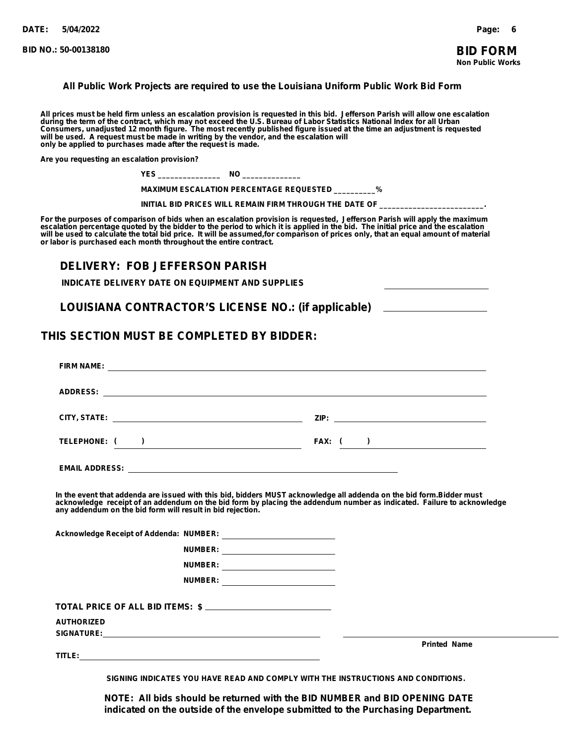### **All Public Work Projects are required to use the Louisiana Uniform Public Work Bid Form**

All prices must be held firm unless an escalation provision is requested in this bid. Jefferson Parish will allow one escalation<br>during the term of the contract, which may not exceed the U.S. Bureau of Labor Statistics Na **only be applied to purchases made after the request is made.**

**Are you requesting an escalation provision?**

| NH<br>. . |  |
|-----------|--|
|-----------|--|

 **MAXIMUM ESCALATION PERCENTAGE REQUESTED \_\_\_\_\_\_\_\_\_\_%**

 **INITIAL BID PRICES WILL REMAIN FIRM THROUGH THE DATE OF \_\_\_\_\_\_\_\_\_\_\_\_\_\_\_\_\_\_\_\_\_\_\_\_\_.**

For the purposes of comparison of bids when an escalation provision is requested, Jefferson Parish will apply the maximum<br>escalation percentage quoted by the bidder to the period to which it is applied in the bid. The in will be used to calculate the total bid price. It will be assumed,for comparison of prices only, that an equal amount of material<br>or labor is purchased each month throughout the entire contract.

### **DELIVERY: FOB JEFFERSON PARISH**

**INDICATE DELIVERY DATE ON EQUIPMENT AND SUPPLIES**

**LOUISIANA CONTRACTOR'S LICENSE NO.: (if applicable)**

### **THIS SECTION MUST BE COMPLETED BY BIDDER:**

|                   |                                                            | TELEPHONE: ( )                       |  | FAX: $($ )                                                                                                                                                                                                                                     |
|-------------------|------------------------------------------------------------|--------------------------------------|--|------------------------------------------------------------------------------------------------------------------------------------------------------------------------------------------------------------------------------------------------|
|                   |                                                            |                                      |  |                                                                                                                                                                                                                                                |
|                   | any addendum on the bid form will result in bid rejection. |                                      |  | In the event that addenda are issued with this bid, bidders MUST acknowledge all addenda on the bid form.Bidder must<br>acknowledge receipt of an addendum on the bid form by placing the addendum number as indicated. Failure to acknowledge |
|                   |                                                            |                                      |  |                                                                                                                                                                                                                                                |
|                   |                                                            | NUMBER: ____________________________ |  |                                                                                                                                                                                                                                                |
|                   |                                                            | NUMBER: ____________________________ |  |                                                                                                                                                                                                                                                |
|                   |                                                            |                                      |  |                                                                                                                                                                                                                                                |
|                   |                                                            | TOTAL PRICE OF ALL BID ITEMS: \$     |  |                                                                                                                                                                                                                                                |
| <b>AUTHORIZED</b> |                                                            |                                      |  |                                                                                                                                                                                                                                                |
|                   |                                                            |                                      |  | <b>Printed Name</b>                                                                                                                                                                                                                            |

**SIGNING INDICATES YOU HAVE READ AND COMPLY WITH THE INSTRUCTIONS AND CONDITIONS.**

**NOTE: All bids should be returned with the BID NUMBER and BID OPENING DATE indicated on the outside of the envelope submitted to the Purchasing Department.**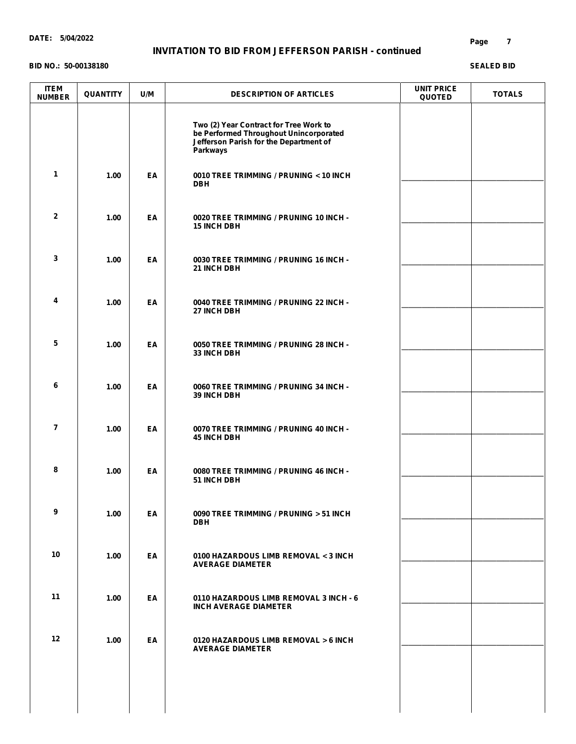### **INVITATION TO BID FROM JEFFERSON PARISH - continued**

#### **BID NO.: 50-00138180**

| <b>ITEM</b><br><b>NUMBER</b> | <b>QUANTITY</b> | U/M | <b>DESCRIPTION OF ARTICLES</b>                                                                                                         | <b>UNIT PRICE</b><br><b>QUOTED</b> | <b>TOTALS</b> |
|------------------------------|-----------------|-----|----------------------------------------------------------------------------------------------------------------------------------------|------------------------------------|---------------|
|                              |                 |     | Two (2) Year Contract for Tree Work to<br>be Performed Throughout Unincorporated<br>Jefferson Parish for the Department of<br>Parkways |                                    |               |
| $\mathbf{1}$                 | 1.00            | EA  | 0010 TREE TRIMMING / PRUNING < 10 INCH<br><b>DBH</b>                                                                                   |                                    |               |
| $\mathbf{2}$                 | 1.00            | EA  | 0020 TREE TRIMMING / PRUNING 10 INCH -<br><b>15 INCH DBH</b>                                                                           |                                    |               |
| 3                            | 1.00            | EA  | 0030 TREE TRIMMING / PRUNING 16 INCH -<br>21 INCH DBH                                                                                  |                                    |               |
| 4                            | 1.00            | EA  | 0040 TREE TRIMMING / PRUNING 22 INCH -<br>27 INCH DBH                                                                                  |                                    |               |
| 5                            | 1.00            | EA  | 0050 TREE TRIMMING / PRUNING 28 INCH -<br><b>33 INCH DBH</b>                                                                           |                                    |               |
| 6                            | 1.00            | EA  | 0060 TREE TRIMMING / PRUNING 34 INCH -<br><b>39 INCH DBH</b>                                                                           |                                    |               |
| $\overline{\mathbf{r}}$      | 1.00            | EA  | 0070 TREE TRIMMING / PRUNING 40 INCH -<br><b>45 INCH DBH</b>                                                                           |                                    |               |
| 8                            | 1.00            | EA  | 0080 TREE TRIMMING / PRUNING 46 INCH -<br>51 INCH DBH                                                                                  |                                    |               |
| 9                            | 1.00            | EA  | 0090 TREE TRIMMING / PRUNING > 51 INCH<br><b>DBH</b>                                                                                   |                                    |               |
| 10                           | 1.00            | EA  | 0100 HAZARDOUS LIMB REMOVAL < 3 INCH<br><b>AVERAGE DIAMETER</b>                                                                        |                                    |               |
| 11                           | 1.00            | EA  | 0110 HAZARDOUS LIMB REMOVAL 3 INCH - 6<br><b>INCH AVERAGE DIAMETER</b>                                                                 |                                    |               |
| $12 \,$                      | 1.00            | EA  | 0120 HAZARDOUS LIMB REMOVAL > 6 INCH<br><b>AVERAGE DIAMETER</b>                                                                        |                                    |               |
|                              |                 |     |                                                                                                                                        |                                    |               |
|                              |                 |     |                                                                                                                                        |                                    |               |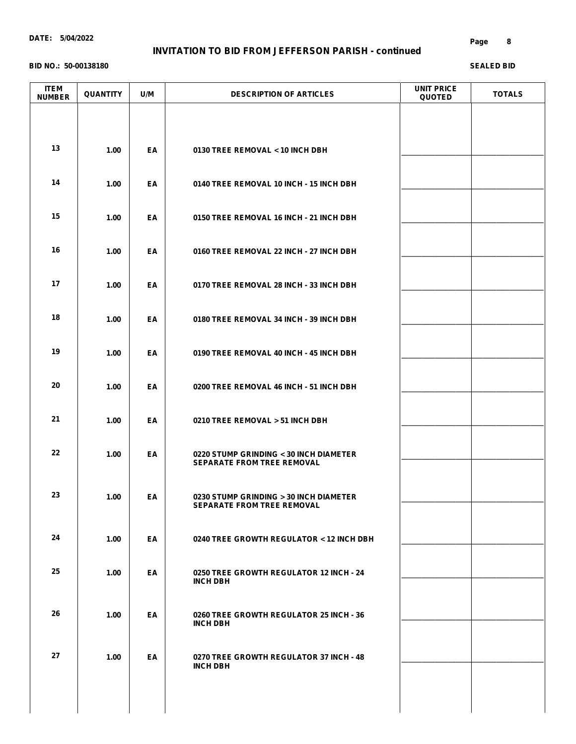### **INVITATION TO BID FROM JEFFERSON PARISH - continued**

#### **BID NO.: 50-00138180**

| <b>ITEM</b><br><b>NUMBER</b> | <b>QUANTITY</b> | U/M | <b>DESCRIPTION OF ARTICLES</b>                                              | <b>UNIT PRICE</b><br><b>QUOTED</b> | <b>TOTALS</b> |
|------------------------------|-----------------|-----|-----------------------------------------------------------------------------|------------------------------------|---------------|
|                              |                 |     |                                                                             |                                    |               |
| 13                           | 1.00            | EA  | 0130 TREE REMOVAL < 10 INCH DBH                                             |                                    |               |
| 14                           | 1.00            | EA  | 0140 TREE REMOVAL 10 INCH - 15 INCH DBH                                     |                                    |               |
| 15                           | 1.00            | EA  | 0150 TREE REMOVAL 16 INCH - 21 INCH DBH                                     |                                    |               |
| 16                           | 1.00            | EA  | 0160 TREE REMOVAL 22 INCH - 27 INCH DBH                                     |                                    |               |
| 17                           | 1.00            | EA  | 0170 TREE REMOVAL 28 INCH - 33 INCH DBH                                     |                                    |               |
| 18                           | 1.00            | EA  | 0180 TREE REMOVAL 34 INCH - 39 INCH DBH                                     |                                    |               |
| 19                           | 1.00            | EA  | 0190 TREE REMOVAL 40 INCH - 45 INCH DBH                                     |                                    |               |
| 20                           | 1.00            | EA  | 0200 TREE REMOVAL 46 INCH - 51 INCH DBH                                     |                                    |               |
| 21                           | 1.00            | EA  | 0210 TREE REMOVAL > 51 INCH DBH                                             |                                    |               |
| 22                           | 1.00            | EA  | 0220 STUMP GRINDING < 30 INCH DIAMETER<br><b>SEPARATE FROM TREE REMOVAL</b> |                                    |               |
| 23                           | 1.00            | EA  | 0230 STUMP GRINDING > 30 INCH DIAMETER<br><b>SEPARATE FROM TREE REMOVAL</b> |                                    |               |
| 24                           | 1.00            | EA  | 0240 TREE GROWTH REGULATOR < 12 INCH DBH                                    |                                    |               |
| 25                           | 1.00            | EA  | 0250 TREE GROWTH REGULATOR 12 INCH - 24<br><b>INCH DBH</b>                  |                                    |               |
| 26                           | 1.00            | EA  | 0260 TREE GROWTH REGULATOR 25 INCH - 36<br><b>INCH DBH</b>                  |                                    |               |
| 27                           | 1.00            | EA  | 0270 TREE GROWTH REGULATOR 37 INCH - 48                                     |                                    |               |
|                              |                 |     | <b>INCH DBH</b>                                                             |                                    |               |
|                              |                 |     |                                                                             |                                    |               |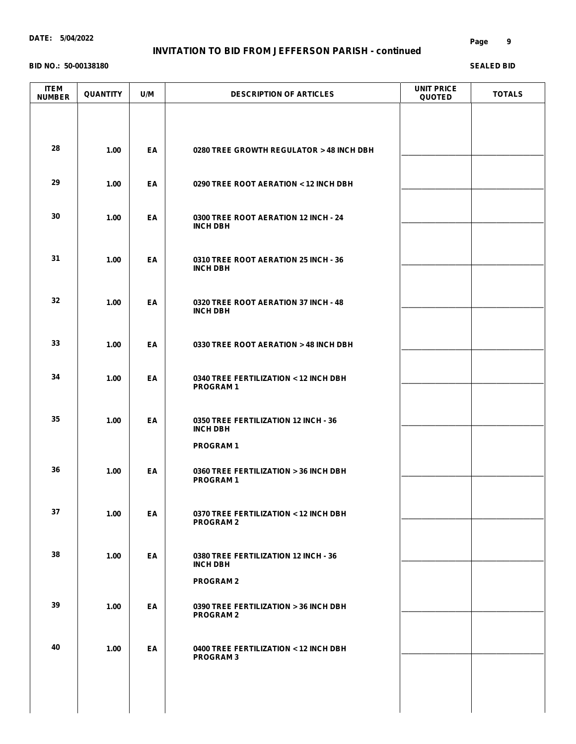### **INVITATION TO BID FROM JEFFERSON PARISH - continued**

#### **BID NO.: 50-00138180**

| <b>ITEM</b><br><b>NUMBER</b> | <b>QUANTITY</b> | U/M | <b>DESCRIPTION OF ARTICLES</b>                                              | <b>UNIT PRICE</b><br><b>QUOTED</b> | <b>TOTALS</b> |
|------------------------------|-----------------|-----|-----------------------------------------------------------------------------|------------------------------------|---------------|
| 28                           | 1.00            | EA  | 0280 TREE GROWTH REGULATOR > 48 INCH DBH                                    |                                    |               |
| 29                           | 1.00            | EA  | 0290 TREE ROOT AERATION < 12 INCH DBH                                       |                                    |               |
| 30                           | 1.00            | EA  | 0300 TREE ROOT AERATION 12 INCH - 24<br><b>INCH DBH</b>                     |                                    |               |
| 31                           | 1.00            | EA  | 0310 TREE ROOT AERATION 25 INCH - 36<br><b>INCH DBH</b>                     |                                    |               |
| 32                           | 1.00            | EA  | 0320 TREE ROOT AERATION 37 INCH - 48<br><b>INCH DBH</b>                     |                                    |               |
| 33                           | 1.00            | EA  | 0330 TREE ROOT AERATION > 48 INCH DBH                                       |                                    |               |
| 34                           | 1.00            | EA  | 0340 TREE FERTILIZATION < 12 INCH DBH<br><b>PROGRAM1</b>                    |                                    |               |
| 35                           | 1.00            | EA  | 0350 TREE FERTILIZATION 12 INCH - 36<br><b>INCH DBH</b>                     |                                    |               |
| 36                           | 1.00            | EA  | <b>PROGRAM1</b><br>0360 TREE FERTILIZATION > 36 INCH DBH<br><b>PROGRAM1</b> |                                    |               |
| 37                           | 1.00            | EA  | 0370 TREE FERTILIZATION < 12 INCH DBH<br><b>PROGRAM2</b>                    |                                    |               |
| 38                           | 1.00            | EA  | 0380 TREE FERTILIZATION 12 INCH - 36<br><b>INCH DBH</b>                     |                                    |               |
| 39                           | 1.00            | EA  | <b>PROGRAM2</b><br>0390 TREE FERTILIZATION > 36 INCH DBH                    |                                    |               |
| 40                           |                 |     | <b>PROGRAM2</b>                                                             |                                    |               |
|                              | 1.00            | EA  | 0400 TREE FERTILIZATION < 12 INCH DBH<br><b>PROGRAM3</b>                    |                                    |               |
|                              |                 |     |                                                                             |                                    |               |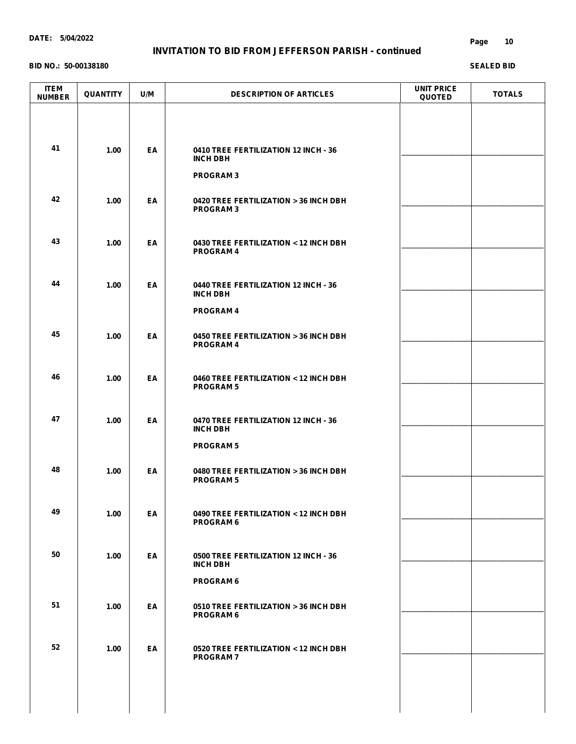### **INVITATION TO BID FROM JEFFERSON PARISH - continued**

#### **BID NO.: 50-00138180**

| <b>ITEM</b><br><b>NUMBER</b> | <b>QUANTITY</b> | U/M | <b>DESCRIPTION OF ARTICLES</b>                            | <b>UNIT PRICE</b><br><b>QUOTED</b> | <b>TOTALS</b> |
|------------------------------|-----------------|-----|-----------------------------------------------------------|------------------------------------|---------------|
|                              |                 |     |                                                           |                                    |               |
| 41                           | 1.00            | EA  | 0410 TREE FERTILIZATION 12 INCH - 36<br><b>INCH DBH</b>   |                                    |               |
|                              |                 |     | <b>PROGRAM3</b>                                           |                                    |               |
| 42                           | 1.00            | EA  | 0420 TREE FERTILIZATION > 36 INCH DBH<br><b>PROGRAM3</b>  |                                    |               |
| 43                           | 1.00            | EA  | 0430 TREE FERTILIZATION < 12 INCH DBH<br><b>PROGRAM4</b>  |                                    |               |
| 44                           | 1.00            | EA  | 0440 TREE FERTILIZATION 12 INCH - 36<br><b>INCH DBH</b>   |                                    |               |
|                              |                 |     | <b>PROGRAM4</b>                                           |                                    |               |
| 45                           | 1.00            | EA  | 0450 TREE FERTILIZATION > 36 INCH DBH<br><b>PROGRAM4</b>  |                                    |               |
| 46                           | 1.00            | EA  | 0460 TREE FERTILIZATION < 12 INCH DBH<br><b>PROGRAM 5</b> |                                    |               |
| 47                           | 1.00            | EA  | 0470 TREE FERTILIZATION 12 INCH - 36<br><b>INCH DBH</b>   |                                    |               |
|                              |                 |     | <b>PROGRAM 5</b>                                          |                                    |               |
| 48                           | 1.00            | EA  | 0480 TREE FERTILIZATION > 36 INCH DBH<br><b>PROGRAM 5</b> |                                    |               |
| 49                           | 1.00            | EA  | 0490 TREE FERTILIZATION < 12 INCH DBH<br><b>PROGRAM 6</b> |                                    |               |
| 50                           | 1.00            | EA  | 0500 TREE FERTILIZATION 12 INCH - 36<br><b>INCH DBH</b>   |                                    |               |
|                              |                 |     | <b>PROGRAM 6</b>                                          |                                    |               |
| 51                           | 1.00            | EA  | 0510 TREE FERTILIZATION > 36 INCH DBH<br><b>PROGRAM 6</b> |                                    |               |
| 52                           | 1.00            | EA  | 0520 TREE FERTILIZATION < 12 INCH DBH                     |                                    |               |
|                              |                 |     | <b>PROGRAM7</b>                                           |                                    |               |
|                              |                 |     |                                                           |                                    |               |
|                              |                 |     |                                                           |                                    |               |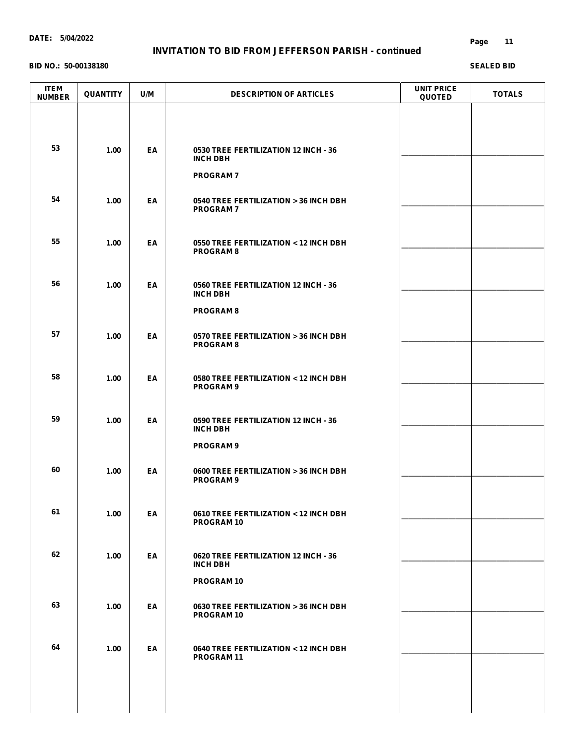### **INVITATION TO BID FROM JEFFERSON PARISH - continued**

#### **BID NO.: 50-00138180**

| <b>ITEM</b><br><b>NUMBER</b> | <b>QUANTITY</b> | U/M | <b>DESCRIPTION OF ARTICLES</b>                             | <b>UNIT PRICE</b><br><b>QUOTED</b> | <b>TOTALS</b> |
|------------------------------|-----------------|-----|------------------------------------------------------------|------------------------------------|---------------|
|                              |                 |     |                                                            |                                    |               |
| 53                           | 1.00            | EA  | 0530 TREE FERTILIZATION 12 INCH - 36<br><b>INCH DBH</b>    |                                    |               |
|                              |                 |     | <b>PROGRAM7</b>                                            |                                    |               |
| 54                           | 1.00            | EA  | 0540 TREE FERTILIZATION > 36 INCH DBH<br><b>PROGRAM7</b>   |                                    |               |
| 55                           | 1.00            | EA  | 0550 TREE FERTILIZATION < 12 INCH DBH<br><b>PROGRAM 8</b>  |                                    |               |
| 56                           | 1.00            | EA  | 0560 TREE FERTILIZATION 12 INCH - 36<br><b>INCH DBH</b>    |                                    |               |
|                              |                 |     | <b>PROGRAM 8</b>                                           |                                    |               |
| 57                           | 1.00            | EA  | 0570 TREE FERTILIZATION > 36 INCH DBH<br><b>PROGRAM 8</b>  |                                    |               |
| 58                           | 1.00            | EA  | 0580 TREE FERTILIZATION < 12 INCH DBH<br><b>PROGRAM 9</b>  |                                    |               |
| 59                           | 1.00            | EA  | 0590 TREE FERTILIZATION 12 INCH - 36<br><b>INCH DBH</b>    |                                    |               |
|                              |                 |     | <b>PROGRAM 9</b>                                           |                                    |               |
| 60                           | 1.00            | EA  | 0600 TREE FERTILIZATION > 36 INCH DBH<br><b>PROGRAM 9</b>  |                                    |               |
| 61                           | 1.00            | EA  | 0610 TREE FERTILIZATION < 12 INCH DBH<br>PROGRAM 10        |                                    |               |
| 62                           | 1.00            | EA  | 0620 TREE FERTILIZATION 12 INCH - 36                       |                                    |               |
|                              |                 |     | <b>INCH DBH</b><br><b>PROGRAM10</b>                        |                                    |               |
| 63                           | 1.00            | EA  | 0630 TREE FERTILIZATION > 36 INCH DBH<br><b>PROGRAM 10</b> |                                    |               |
|                              |                 |     |                                                            |                                    |               |
| 64                           | 1.00            | EA  | 0640 TREE FERTILIZATION < 12 INCH DBH<br>PROGRAM 11        |                                    |               |
|                              |                 |     |                                                            |                                    |               |
|                              |                 |     |                                                            |                                    |               |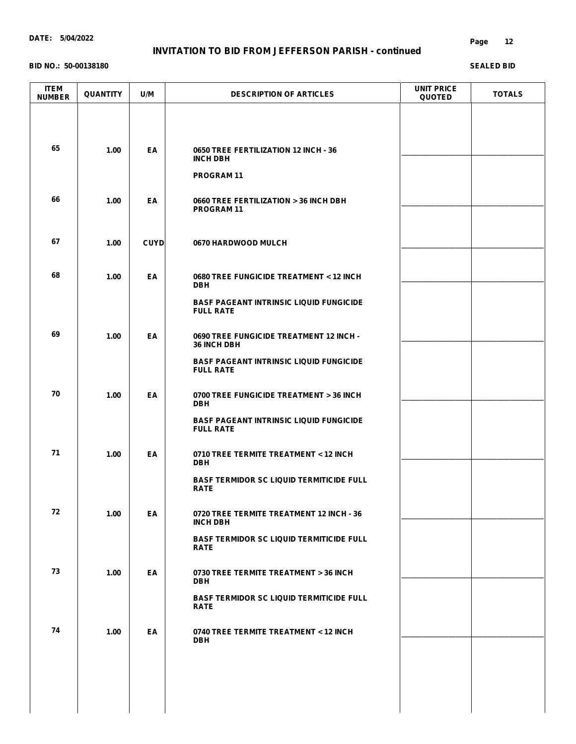### **INVITATION TO BID FROM JEFFERSON PARISH - continued**

#### **BID NO.: 50-00138180**

| <b>ITEM</b><br><b>NUMBER</b> | <b>QUANTITY</b> | U/M         | <b>DESCRIPTION OF ARTICLES</b>                                     | <b>UNIT PRICE</b><br><b>QUOTED</b> | <b>TOTALS</b> |
|------------------------------|-----------------|-------------|--------------------------------------------------------------------|------------------------------------|---------------|
|                              |                 |             |                                                                    |                                    |               |
| 65                           | 1.00            | EA          | 0650 TREE FERTILIZATION 12 INCH - 36<br><b>INCH DBH</b>            |                                    |               |
|                              |                 |             | <b>PROGRAM11</b>                                                   |                                    |               |
| 66                           | 1.00            | EA          | 0660 TREE FERTILIZATION > 36 INCH DBH<br><b>PROGRAM11</b>          |                                    |               |
| 67                           | 1.00            | <b>CUYD</b> | 0670 HARDWOOD MULCH                                                |                                    |               |
| 68                           | 1.00            | EA          | 0680 TREE FUNGICIDE TREATMENT < 12 INCH<br><b>DBH</b>              |                                    |               |
|                              |                 |             | <b>BASF PAGEANT INTRINSIC LIQUID FUNGICIDE</b><br><b>FULL RATE</b> |                                    |               |
| 69                           | 1.00            | EA          | 0690 TREE FUNGICIDE TREATMENT 12 INCH -<br>36 INCH DBH             |                                    |               |
|                              |                 |             | <b>BASF PAGEANT INTRINSIC LIQUID FUNGICIDE</b><br><b>FULL RATE</b> |                                    |               |
| 70                           | 1.00            | EA          | 0700 TREE FUNGICIDE TREATMENT > 36 INCH<br><b>DBH</b>              |                                    |               |
|                              |                 |             | <b>BASF PAGEANT INTRINSIC LIQUID FUNGICIDE</b><br><b>FULL RATE</b> |                                    |               |
| 71                           | 1.00            | EA          | 0710 TREE TERMITE TREATMENT < 12 INCH<br><b>DBH</b>                |                                    |               |
|                              |                 |             | <b>BASF TERMIDOR SC LIQUID TERMITICIDE FULL</b><br><b>RATE</b>     |                                    |               |
| 72                           | 1.00            | EA          | 0720 TREE TERMITE TREATMENT 12 INCH - 36<br><b>INCH DBH</b>        |                                    |               |
|                              |                 |             | <b>BASF TERMIDOR SC LIQUID TERMITICIDE FULL</b><br><b>RATE</b>     |                                    |               |
| 73                           | 1.00            | EA          | 0730 TREE TERMITE TREATMENT > 36 INCH<br><b>DBH</b>                |                                    |               |
|                              |                 |             | <b>BASF TERMIDOR SC LIQUID TERMITICIDE FULL</b><br><b>RATE</b>     |                                    |               |
| 74                           | 1.00            | EA          | 0740 TREE TERMITE TREATMENT < 12 INCH<br><b>DBH</b>                |                                    |               |
|                              |                 |             |                                                                    |                                    |               |
|                              |                 |             |                                                                    |                                    |               |
|                              |                 |             |                                                                    |                                    |               |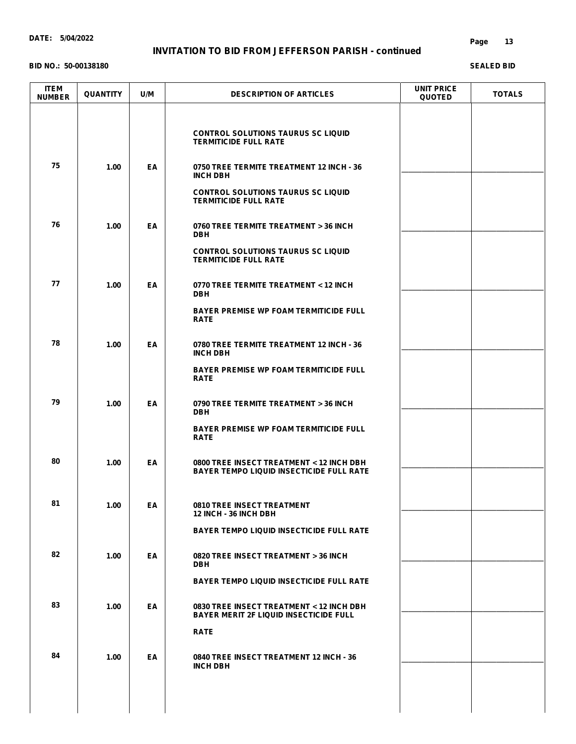### **INVITATION TO BID FROM JEFFERSON PARISH - continued**

#### **BID NO.: 50-00138180**

#### **Page 13**

| <b>ITEM</b><br><b>NUMBER</b> | <b>QUANTITY</b> | U/M | <b>DESCRIPTION OF ARTICLES</b>                                                              | UNIT PRICE<br><b>QUOTED</b> | <b>TOTALS</b> |
|------------------------------|-----------------|-----|---------------------------------------------------------------------------------------------|-----------------------------|---------------|
|                              |                 |     | <b>CONTROL SOLUTIONS TAURUS SC LIQUID</b><br><b>TERMITICIDE FULL RATE</b>                   |                             |               |
| 75                           | 1.00            | EA  | 0750 TREE TERMITE TREATMENT 12 INCH - 36<br><b>INCH DBH</b>                                 |                             |               |
|                              |                 |     | <b>CONTROL SOLUTIONS TAURUS SC LIQUID</b><br><b>TERMITICIDE FULL RATE</b>                   |                             |               |
| 76                           | 1.00            | EA  | 0760 TREE TERMITE TREATMENT > 36 INCH<br><b>DBH</b>                                         |                             |               |
|                              |                 |     | <b>CONTROL SOLUTIONS TAURUS SC LIQUID</b><br><b>TERMITICIDE FULL RATE</b>                   |                             |               |
| 77                           | 1.00            | EA  | 0770 TREE TERMITE TREATMENT < 12 INCH<br><b>DBH</b>                                         |                             |               |
|                              |                 |     | <b>BAYER PREMISE WP FOAM TERMITICIDE FULL</b><br><b>RATE</b>                                |                             |               |
| 78                           | 1.00            | EA  | 0780 TREE TERMITE TREATMENT 12 INCH - 36<br><b>INCH DBH</b>                                 |                             |               |
|                              |                 |     | <b>BAYER PREMISE WP FOAM TERMITICIDE FULL</b><br><b>RATE</b>                                |                             |               |
| 79                           | 1.00            | EA  | 0790 TREE TERMITE TREATMENT > 36 INCH<br><b>DBH</b>                                         |                             |               |
|                              |                 |     | <b>BAYER PREMISE WP FOAM TERMITICIDE FULL</b><br><b>RATE</b>                                |                             |               |
| 80                           | 1.00            | EA  | 0800 TREE INSECT TREATMENT < 12 INCH DBH<br><b>BAYER TEMPO LIQUID INSECTICIDE FULL RATE</b> |                             |               |
| 81                           | 1.00            | EA  | <b>0810 TREE INSECT TREATMENT</b><br>12 INCH - 36 INCH DBH                                  |                             |               |
|                              |                 |     | <b>BAYER TEMPO LIQUID INSECTICIDE FULL RATE</b>                                             |                             |               |
| 82                           | 1.00            | EA  | 0820 TREE INSECT TREATMENT > 36 INCH<br><b>DBH</b>                                          |                             |               |
|                              |                 |     | <b>BAYER TEMPO LIQUID INSECTICIDE FULL RATE</b>                                             |                             |               |
| 83                           | 1.00            | EA  | 0830 TREE INSECT TREATMENT < 12 INCH DBH<br><b>BAYER MERIT 2F LIQUID INSECTICIDE FULL</b>   |                             |               |
|                              |                 |     | <b>RATE</b>                                                                                 |                             |               |
|                              | 1.00            | EA  | 0840 TREE INSECT TREATMENT 12 INCH - 36<br><b>INCH DBH</b>                                  |                             |               |
|                              |                 |     |                                                                                             |                             |               |
| 84                           |                 |     |                                                                                             |                             |               |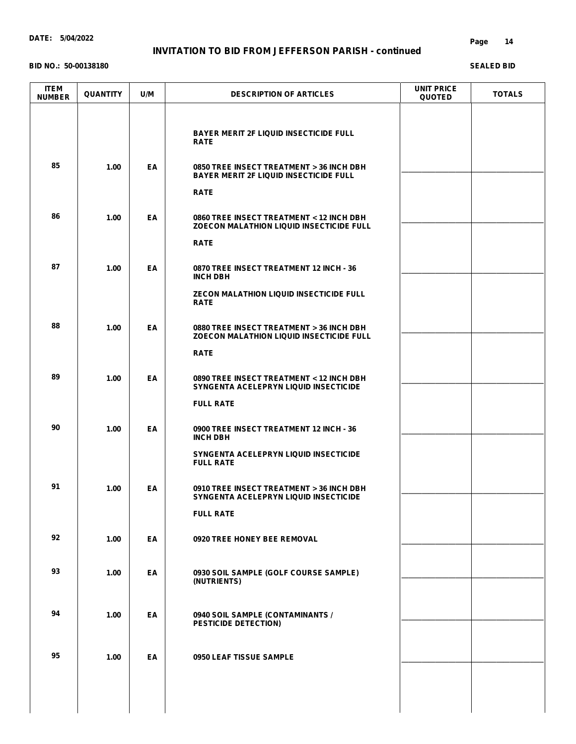### **INVITATION TO BID FROM JEFFERSON PARISH - continued**

#### **BID NO.: 50-00138180**

#### **Page 14**

| <b>ITEM</b><br><b>NUMBER</b> | <b>QUANTITY</b> | U/M | <b>DESCRIPTION OF ARTICLES</b>                                                                                                                 | <b>UNIT PRICE</b><br><b>QUOTED</b> | <b>TOTALS</b> |
|------------------------------|-----------------|-----|------------------------------------------------------------------------------------------------------------------------------------------------|------------------------------------|---------------|
| 85                           |                 |     | <b>BAYER MERIT 2F LIQUID INSECTICIDE FULL</b><br><b>RATE</b>                                                                                   |                                    |               |
|                              | 1.00            | EA  | 0850 TREE INSECT TREATMENT > 36 INCH DBH<br><b>BAYER MERIT 2F LIQUID INSECTICIDE FULL</b><br><b>RATE</b>                                       |                                    |               |
| 86                           | 1.00            | EA  | 0860 TREE INSECT TREATMENT < 12 INCH DBH<br><b>ZOECON MALATHION LIQUID INSECTICIDE FULL</b><br><b>RATE</b>                                     |                                    |               |
| 87                           | 1.00            | EA  | 0870 TREE INSECT TREATMENT 12 INCH - 36<br><b>INCH DBH</b><br><b>ZECON MALATHION LIQUID INSECTICIDE FULL</b><br><b>RATE</b>                    |                                    |               |
| 88                           | 1.00            | EA  | 0880 TREE INSECT TREATMENT > 36 INCH DBH<br><b>ZOECON MALATHION LIQUID INSECTICIDE FULL</b><br><b>RATE</b>                                     |                                    |               |
| 89                           | 1.00            | EA  | 0890 TREE INSECT TREATMENT < 12 INCH DBH<br>SYNGENTA ACELEPRYN LIQUID INSECTICIDE<br><b>FULL RATE</b>                                          |                                    |               |
| 90                           | 1.00            | EA  | 0900 TREE INSECT TREATMENT 12 INCH - 36<br><b>INCH DBH</b>                                                                                     |                                    |               |
| 91                           | 1.00            | ΕA  | SYNGENTA ACELEPRYN LIQUID INSECTICIDE<br><b>FULL RATE</b><br>0910 TREE INSECT TREATMENT > 36 INCH DBH<br>SYNGENTA ACELEPRYN LIQUID INSECTICIDE |                                    |               |
| 92                           | 1.00            | EA  | <b>FULL RATE</b><br>0920 TREE HONEY BEE REMOVAL                                                                                                |                                    |               |
| 93                           | 1.00            | EA  | 0930 SOIL SAMPLE (GOLF COURSE SAMPLE)<br>(NUTRIENTS)                                                                                           |                                    |               |
| 94                           | 1.00            | EA  | 0940 SOIL SAMPLE (CONTAMINANTS /<br>PESTICIDE DETECTION)                                                                                       |                                    |               |
| 95                           | 1.00            | EA  | 0950 LEAF TISSUE SAMPLE                                                                                                                        |                                    |               |
|                              |                 |     |                                                                                                                                                |                                    |               |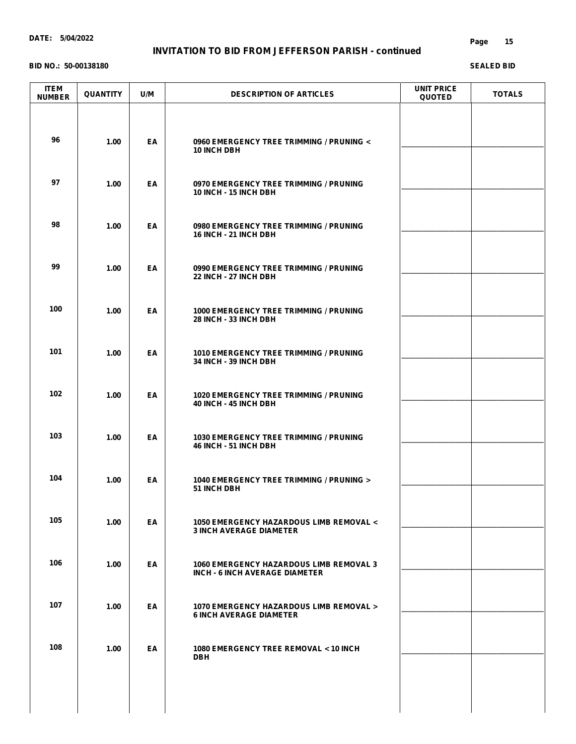### **INVITATION TO BID FROM JEFFERSON PARISH - continued**

#### **BID NO.: 50-00138180**

#### **Page 15**

| <b>ITEM</b><br><b>NUMBER</b> | <b>QUANTITY</b> | U/M | <b>DESCRIPTION OF ARTICLES</b>                                                          | <b>UNIT PRICE</b><br><b>QUOTED</b> | <b>TOTALS</b> |
|------------------------------|-----------------|-----|-----------------------------------------------------------------------------------------|------------------------------------|---------------|
| 96                           | 1.00            | EA  | 0960 EMERGENCY TREE TRIMMING / PRUNING <<br><b>10 INCH DBH</b>                          |                                    |               |
| 97                           | 1.00            | EA  | 0970 EMERGENCY TREE TRIMMING / PRUNING<br>10 INCH - 15 INCH DBH                         |                                    |               |
| 98                           | 1.00            | EA  | 0980 EMERGENCY TREE TRIMMING / PRUNING<br><b>16 INCH - 21 INCH DBH</b>                  |                                    |               |
| 99                           | 1.00            | EA  | 0990 EMERGENCY TREE TRIMMING / PRUNING<br>22 INCH - 27 INCH DBH                         |                                    |               |
| 100                          | 1.00            | EA  | <b>1000 EMERGENCY TREE TRIMMING / PRUNING</b><br>28 INCH - 33 INCH DBH                  |                                    |               |
| 101                          | 1.00            | EA  | 1010 EMERGENCY TREE TRIMMING / PRUNING<br>34 INCH - 39 INCH DBH                         |                                    |               |
| 102                          | 1.00            | EA  | <b>1020 EMERGENCY TREE TRIMMING / PRUNING</b><br>40 INCH - 45 INCH DBH                  |                                    |               |
| 103                          | 1.00            | EA  | 1030 EMERGENCY TREE TRIMMING / PRUNING<br>46 INCH - 51 INCH DBH                         |                                    |               |
| 104                          | 1.00            | EA  | 1040 EMERGENCY TREE TRIMMING / PRUNING ><br>51 INCH DBH                                 |                                    |               |
| 105                          | 1.00            | EA  | 1050 EMERGENCY HAZARDOUS LIMB REMOVAL <<br><b>3 INCH AVERAGE DIAMETER</b>               |                                    |               |
| 106                          | 1.00            | EA  | <b>1060 EMERGENCY HAZARDOUS LIMB REMOVAL 3</b><br><b>INCH - 6 INCH AVERAGE DIAMETER</b> |                                    |               |
| 107                          | 1.00            | EA  | <b>1070 EMERGENCY HAZARDOUS LIMB REMOVAL &gt;</b><br><b>6 INCH AVERAGE DIAMETER</b>     |                                    |               |
| 108                          | 1.00            | EA  | 1080 EMERGENCY TREE REMOVAL < 10 INCH<br><b>DBH</b>                                     |                                    |               |
|                              |                 |     |                                                                                         |                                    |               |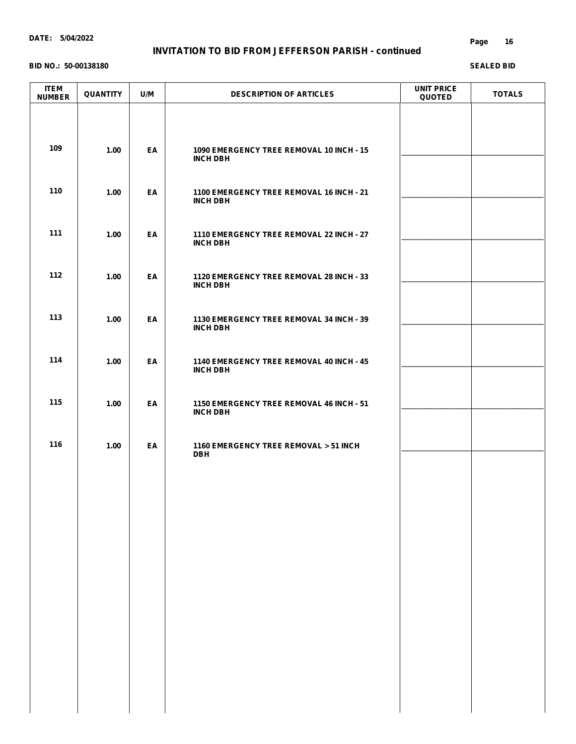### **INVITATION TO BID FROM JEFFERSON PARISH - continued**

#### **BID NO.: 50-00138180**

| <b>ITEM</b><br><b>NUMBER</b> | QUANTITY | U/M | <b>DESCRIPTION OF ARTICLES</b>                              | <b>UNIT PRICE</b><br><b>QUOTED</b> | <b>TOTALS</b> |
|------------------------------|----------|-----|-------------------------------------------------------------|------------------------------------|---------------|
| 109                          | 1.00     | EA  | 1090 EMERGENCY TREE REMOVAL 10 INCH - 15                    |                                    |               |
| 110                          |          |     | <b>INCH DBH</b>                                             |                                    |               |
|                              | 1.00     | EA  | 1100 EMERGENCY TREE REMOVAL 16 INCH - 21<br><b>INCH DBH</b> |                                    |               |
| 111                          | 1.00     | EA  | 1110 EMERGENCY TREE REMOVAL 22 INCH - 27<br><b>INCH DBH</b> |                                    |               |
| 112                          | 1.00     | EA  | 1120 EMERGENCY TREE REMOVAL 28 INCH - 33<br><b>INCH DBH</b> |                                    |               |
| 113                          | 1.00     | EA  | 1130 EMERGENCY TREE REMOVAL 34 INCH - 39<br><b>INCH DBH</b> |                                    |               |
| 114                          | 1.00     | EA  | 1140 EMERGENCY TREE REMOVAL 40 INCH - 45<br><b>INCH DBH</b> |                                    |               |
| 115                          | 1.00     | EA  | 1150 EMERGENCY TREE REMOVAL 46 INCH - 51<br><b>INCH DBH</b> |                                    |               |
| 116                          | 1.00     | EA  | 1160 EMERGENCY TREE REMOVAL > 51 INCH<br><b>DBH</b>         |                                    |               |
|                              |          |     |                                                             |                                    |               |
|                              |          |     |                                                             |                                    |               |
|                              |          |     |                                                             |                                    |               |
|                              |          |     |                                                             |                                    |               |
|                              |          |     |                                                             |                                    |               |
|                              |          |     |                                                             |                                    |               |
|                              |          |     |                                                             |                                    |               |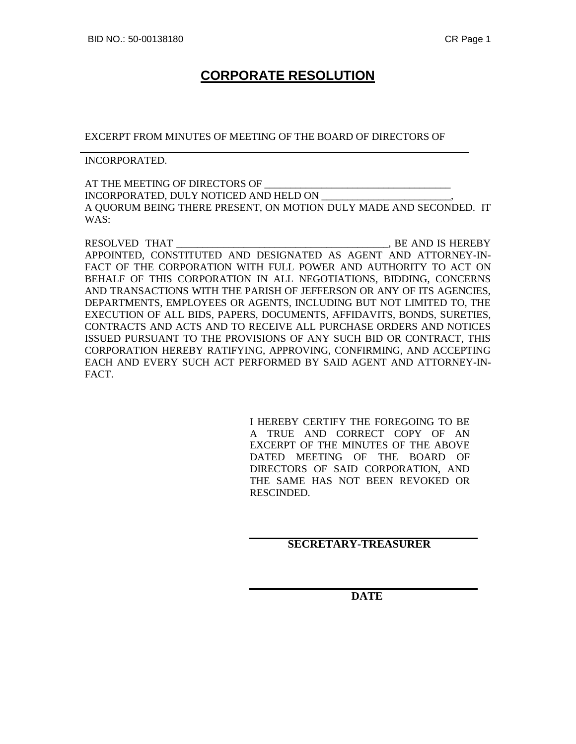# **CORPORATE RESOLUTION**

EXCERPT FROM MINUTES OF MEETING OF THE BOARD OF DIRECTORS OF

INCORPORATED.

AT THE MEETING OF DIRECTORS OF INCORPORATED, DULY NOTICED AND HELD ON \_\_\_\_\_\_\_\_\_\_\_\_\_\_\_\_\_\_\_\_\_\_\_\_\_, A QUORUM BEING THERE PRESENT, ON MOTION DULY MADE AND SECONDED. IT WAS:

RESOLVED THAT \_\_\_\_\_\_\_\_\_\_\_\_\_\_\_\_\_\_\_\_\_\_\_\_\_\_\_\_\_\_\_\_\_\_\_\_\_\_\_\_\_, BE AND IS HEREBY APPOINTED, CONSTITUTED AND DESIGNATED AS AGENT AND ATTORNEY-IN-FACT OF THE CORPORATION WITH FULL POWER AND AUTHORITY TO ACT ON BEHALF OF THIS CORPORATION IN ALL NEGOTIATIONS, BIDDING, CONCERNS AND TRANSACTIONS WITH THE PARISH OF JEFFERSON OR ANY OF ITS AGENCIES, DEPARTMENTS, EMPLOYEES OR AGENTS, INCLUDING BUT NOT LIMITED TO, THE EXECUTION OF ALL BIDS, PAPERS, DOCUMENTS, AFFIDAVITS, BONDS, SURETIES, CONTRACTS AND ACTS AND TO RECEIVE ALL PURCHASE ORDERS AND NOTICES ISSUED PURSUANT TO THE PROVISIONS OF ANY SUCH BID OR CONTRACT, THIS CORPORATION HEREBY RATIFYING, APPROVING, CONFIRMING, AND ACCEPTING EACH AND EVERY SUCH ACT PERFORMED BY SAID AGENT AND ATTORNEY-IN-FACT.

> I HEREBY CERTIFY THE FOREGOING TO BE A TRUE AND CORRECT COPY OF AN EXCERPT OF THE MINUTES OF THE ABOVE DATED MEETING OF THE BOARD OF DIRECTORS OF SAID CORPORATION, AND THE SAME HAS NOT BEEN REVOKED OR RESCINDED.

## **SECRETARY-TREASURER**

**DATE**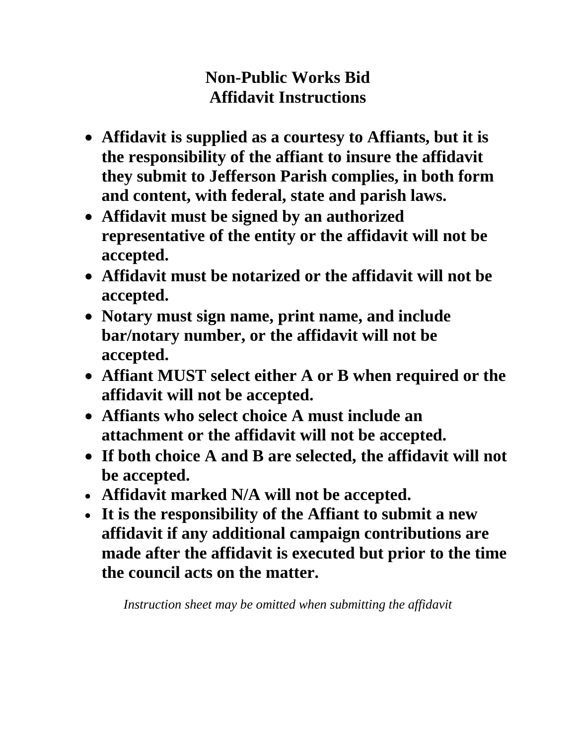# **Non-Public Works Bid Affidavit Instructions**

- **Affidavit is supplied as a courtesy to Affiants, but it is the responsibility of the affiant to insure the affidavit they submit to Jefferson Parish complies, in both form and content, with federal, state and parish laws.**
- **Affidavit must be signed by an authorized representative of the entity or the affidavit will not be accepted.**
- **Affidavit must be notarized or the affidavit will not be accepted.**
- **Notary must sign name, print name, and include bar/notary number, or the affidavit will not be accepted.**
- **Affiant MUST select either A or B when required or the affidavit will not be accepted.**
- **Affiants who select choice A must include an attachment or the affidavit will not be accepted.**
- **If both choice A and B are selected, the affidavit will not be accepted.**
- **Affidavit marked N/A will not be accepted.**
- **It is the responsibility of the Affiant to submit a new affidavit if any additional campaign contributions are made after the affidavit is executed but prior to the time the council acts on the matter.**

*Instruction sheet may be omitted when submitting the affidavit*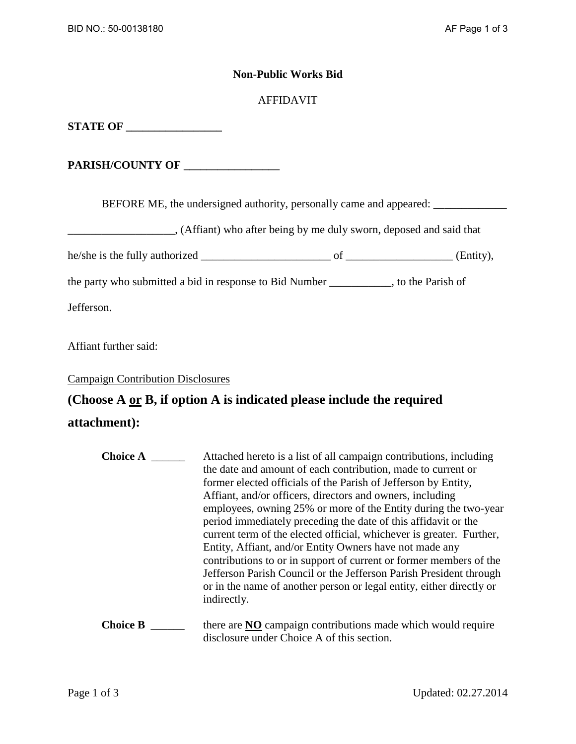## **Non-Public Works Bid**

## AFFIDAVIT

**STATE OF \_\_\_\_\_\_\_\_\_\_\_\_\_\_\_\_\_\_** 

**PARISH/COUNTY OF \_\_\_\_\_\_\_\_\_\_\_\_\_\_\_\_\_** 

BEFORE ME, the undersigned authority, personally came and appeared: \_\_\_\_\_\_\_\_\_\_\_\_

(Affiant) who after being by me duly sworn, deposed and said that

he/she is the fully authorized \_\_\_\_\_\_\_\_\_\_\_\_\_\_\_\_\_\_\_\_\_\_\_ of \_\_\_\_\_\_\_\_\_\_\_\_\_\_\_\_\_\_\_ (Entity),

the party who submitted a bid in response to Bid Number \_\_\_\_\_\_\_\_\_\_\_, to the Parish of

Jefferson.

Affiant further said:

Campaign Contribution Disclosures

# **(Choose A or B, if option A is indicated please include the required**

# **attachment):**

| <b>Choice A</b> | Attached hereto is a list of all campaign contributions, including<br>the date and amount of each contribution, made to current or<br>former elected officials of the Parish of Jefferson by Entity,<br>Affiant, and/or officers, directors and owners, including<br>employees, owning 25% or more of the Entity during the two-year<br>period immediately preceding the date of this affidavit or the<br>current term of the elected official, whichever is greater. Further,<br>Entity, Affiant, and/or Entity Owners have not made any<br>contributions to or in support of current or former members of the<br>Jefferson Parish Council or the Jefferson Parish President through<br>or in the name of another person or legal entity, either directly or<br>indirectly. |
|-----------------|------------------------------------------------------------------------------------------------------------------------------------------------------------------------------------------------------------------------------------------------------------------------------------------------------------------------------------------------------------------------------------------------------------------------------------------------------------------------------------------------------------------------------------------------------------------------------------------------------------------------------------------------------------------------------------------------------------------------------------------------------------------------------|
| <b>Choice B</b> | there are NO campaign contributions made which would require<br>disclosure under Choice A of this section.                                                                                                                                                                                                                                                                                                                                                                                                                                                                                                                                                                                                                                                                   |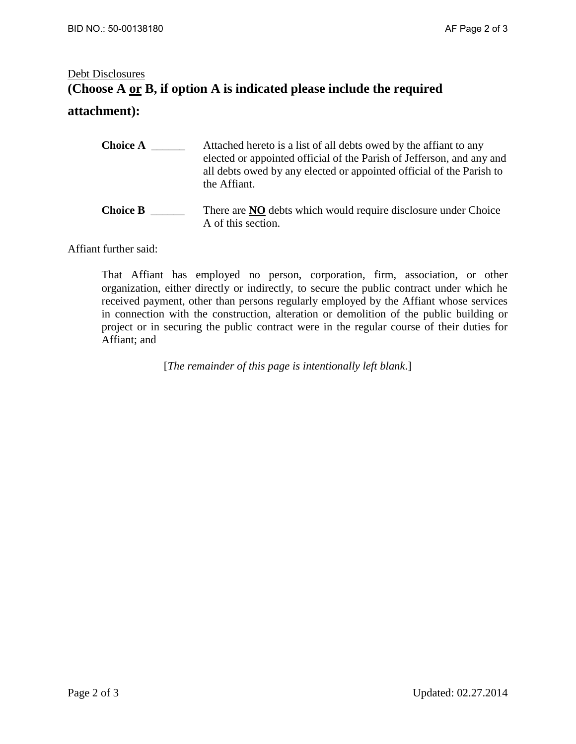# Debt Disclosures **(Choose A or B, if option A is indicated please include the required**

A of this section.

# **attachment):**

| <b>Choice A</b> | Attached hereto is a list of all debts owed by the affiant to any<br>elected or appointed official of the Parish of Jefferson, and any and<br>all debts owed by any elected or appointed official of the Parish to<br>the Affiant. |
|-----------------|------------------------------------------------------------------------------------------------------------------------------------------------------------------------------------------------------------------------------------|
| <b>Choice B</b> | There are <b>NO</b> debts which would require disclosure under Choice                                                                                                                                                              |

Affiant further said:

That Affiant has employed no person, corporation, firm, association, or other organization, either directly or indirectly, to secure the public contract under which he received payment, other than persons regularly employed by the Affiant whose services in connection with the construction, alteration or demolition of the public building or project or in securing the public contract were in the regular course of their duties for Affiant; and

[*The remainder of this page is intentionally left blank*.]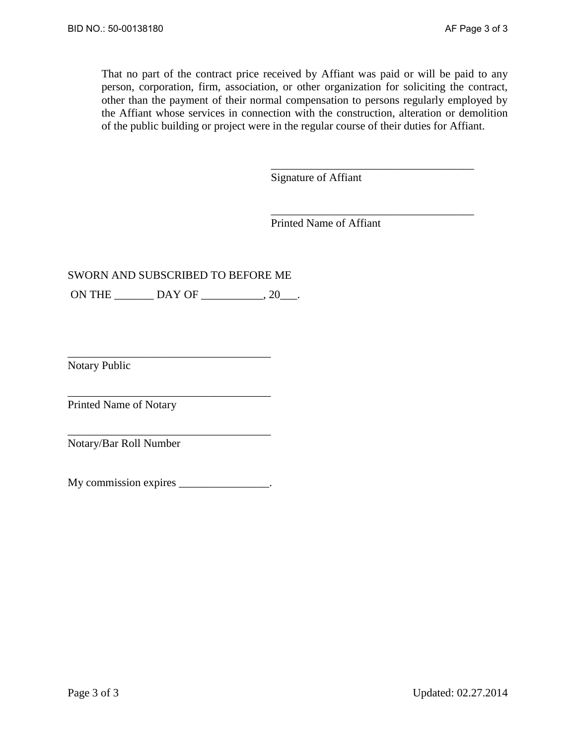That no part of the contract price received by Affiant was paid or will be paid to any person, corporation, firm, association, or other organization for soliciting the contract, other than the payment of their normal compensation to persons regularly employed by the Affiant whose services in connection with the construction, alteration or demolition of the public building or project were in the regular course of their duties for Affiant.

Signature of Affiant

\_\_\_\_\_\_\_\_\_\_\_\_\_\_\_\_\_\_\_\_\_\_\_\_\_\_\_\_\_\_\_\_\_\_\_\_

\_\_\_\_\_\_\_\_\_\_\_\_\_\_\_\_\_\_\_\_\_\_\_\_\_\_\_\_\_\_\_\_\_\_\_\_

Printed Name of Affiant

# SWORN AND SUBSCRIBED TO BEFORE ME

ON THE  $_{\text{DAY OF}}$   $_{\text{OF}}$   $_{\text{O}}$ ,  $_{\text{20}}$ .

Notary Public

Printed Name of Notary

Notary/Bar Roll Number

My commission expires \_\_\_\_\_\_\_\_\_\_\_\_\_\_\_.

\_\_\_\_\_\_\_\_\_\_\_\_\_\_\_\_\_\_\_\_\_\_\_\_\_\_\_\_\_\_\_\_\_\_\_\_

\_\_\_\_\_\_\_\_\_\_\_\_\_\_\_\_\_\_\_\_\_\_\_\_\_\_\_\_\_\_\_\_\_\_\_\_

\_\_\_\_\_\_\_\_\_\_\_\_\_\_\_\_\_\_\_\_\_\_\_\_\_\_\_\_\_\_\_\_\_\_\_\_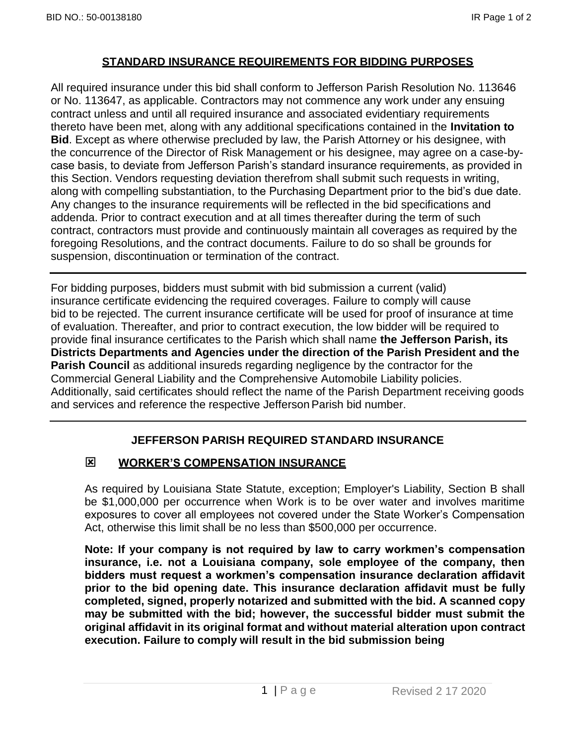# **STANDARD INSURANCE REQUIREMENTS FOR BIDDING PURPOSES**

All required insurance under this bid shall conform to Jefferson Parish Resolution No. 113646 or No. 113647, as applicable. Contractors may not commence any work under any ensuing contract unless and until all required insurance and associated evidentiary requirements thereto have been met, along with any additional specifications contained in the **Invitation to Bid**. Except as where otherwise precluded by law, the Parish Attorney or his designee, with the concurrence of the Director of Risk Management or his designee, may agree on a case-bycase basis, to deviate from Jefferson Parish's standard insurance requirements, as provided in this Section. Vendors requesting deviation therefrom shall submit such requests in writing, along with compelling substantiation, to the Purchasing Department prior to the bid's due date. Any changes to the insurance requirements will be reflected in the bid specifications and addenda. Prior to contract execution and at all times thereafter during the term of such contract, contractors must provide and continuously maintain all coverages as required by the foregoing Resolutions, and the contract documents. Failure to do so shall be grounds for suspension, discontinuation or termination of the contract.

For bidding purposes, bidders must submit with bid submission a current (valid) insurance certificate evidencing the required coverages. Failure to comply will cause bid to be rejected. The current insurance certificate will be used for proof of insurance at time of evaluation. Thereafter, and prior to contract execution, the low bidder will be required to provide final insurance certificates to the Parish which shall name **the Jefferson Parish, its Districts Departments and Agencies under the direction of the Parish President and the Parish Council** as additional insureds regarding negligence by the contractor for the Commercial General Liability and the Comprehensive Automobile Liability policies. Additionally, said certificates should reflect the name of the Parish Department receiving goods and services and reference the respective Jefferson Parish bid number.

# **JEFFERSON PARISH REQUIRED STANDARD INSURANCE**

# **WORKER'S COMPENSATION INSURANCE**

As required by Louisiana State Statute, exception; Employer's Liability, Section B shall be \$1,000,000 per occurrence when Work is to be over water and involves maritime exposures to cover all employees not covered under the State Worker's Compensation Act, otherwise this limit shall be no less than \$500,000 per occurrence.

**Note: If your company is not required by law to carry workmen's compensation insurance, i.e. not a Louisiana company, sole employee of the company, then bidders must request a workmen's compensation insurance declaration affidavit prior to the bid opening date. This insurance declaration affidavit must be fully completed, signed, properly notarized and submitted with the bid. A scanned copy may be submitted with the bid; however, the successful bidder must submit the original affidavit in its original format and without material alteration upon contract execution. Failure to comply will result in the bid submission being**